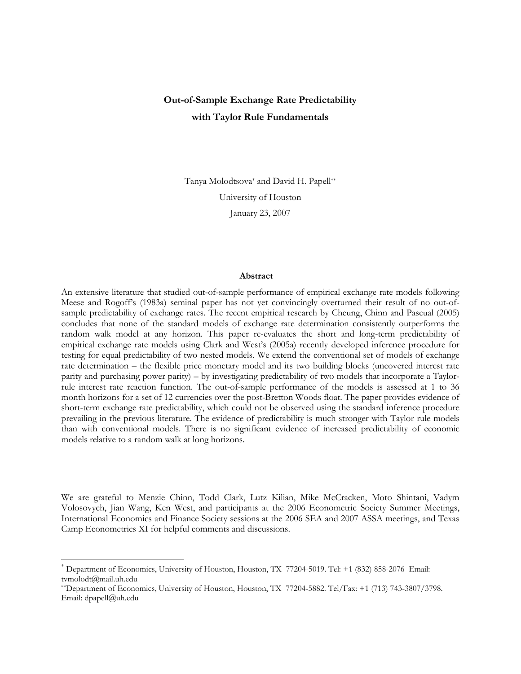# Out-of-Sample Exchange Rate Predictability with Taylor Rule Fundamentals

Tanya Molodtsova\* and David H. Papell\*\* University of Houston January 23, 2007

#### Abstract

An extensive literature that studied out-of-sample performance of empirical exchange rate models following Meese and Rogoff's (1983a) seminal paper has not yet convincingly overturned their result of no out-ofsample predictability of exchange rates. The recent empirical research by Cheung, Chinn and Pascual (2005) concludes that none of the standard models of exchange rate determination consistently outperforms the random walk model at any horizon. This paper re-evaluates the short and long-term predictability of empirical exchange rate models using Clark and West's (2005a) recently developed inference procedure for testing for equal predictability of two nested models. We extend the conventional set of models of exchange rate determination – the flexible price monetary model and its two building blocks (uncovered interest rate parity and purchasing power parity) – by investigating predictability of two models that incorporate a Taylorrule interest rate reaction function. The out-of-sample performance of the models is assessed at 1 to 36 month horizons for a set of 12 currencies over the post-Bretton Woods float. The paper provides evidence of short-term exchange rate predictability, which could not be observed using the standard inference procedure prevailing in the previous literature. The evidence of predictability is much stronger with Taylor rule models than with conventional models. There is no significant evidence of increased predictability of economic models relative to a random walk at long horizons.

We are grateful to Menzie Chinn, Todd Clark, Lutz Kilian, Mike McCracken, Moto Shintani, Vadym Volosovych, Jian Wang, Ken West, and participants at the 2006 Econometric Society Summer Meetings, International Economics and Finance Society sessions at the 2006 SEA and 2007 ASSA meetings, and Texas Camp Econometrics XI for helpful comments and discussions.

 $\overline{a}$ 

<sup>\*</sup> Department of Economics, University of Houston, Houston, TX 77204-5019. Tel: +1 (832) 858-2076 Email: tvmolodt@mail.uh.edu

<sup>\*\*</sup>Department of Economics, University of Houston, Houston, TX 77204-5882. Tel/Fax: +1 (713) 743-3807/3798. Email: dpapell@uh.edu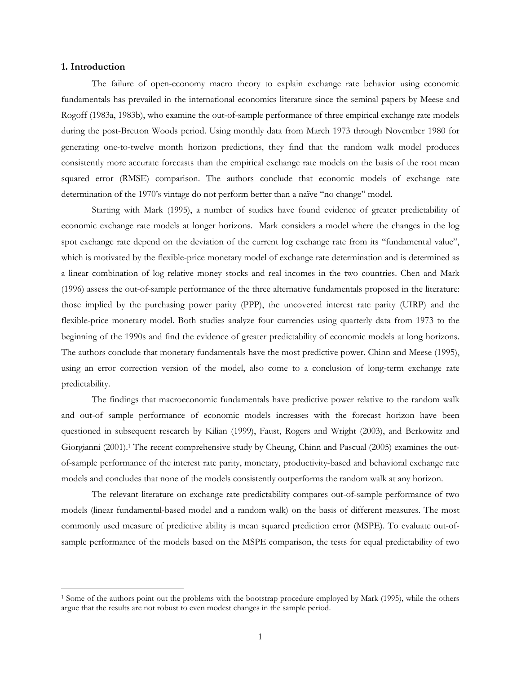### 1. Introduction

 $\overline{a}$ 

The failure of open-economy macro theory to explain exchange rate behavior using economic fundamentals has prevailed in the international economics literature since the seminal papers by Meese and Rogoff (1983a, 1983b), who examine the out-of-sample performance of three empirical exchange rate models during the post-Bretton Woods period. Using monthly data from March 1973 through November 1980 for generating one-to-twelve month horizon predictions, they find that the random walk model produces consistently more accurate forecasts than the empirical exchange rate models on the basis of the root mean squared error (RMSE) comparison. The authors conclude that economic models of exchange rate determination of the 1970's vintage do not perform better than a naïve "no change" model.

Starting with Mark (1995), a number of studies have found evidence of greater predictability of economic exchange rate models at longer horizons. Mark considers a model where the changes in the log spot exchange rate depend on the deviation of the current log exchange rate from its "fundamental value", which is motivated by the flexible-price monetary model of exchange rate determination and is determined as a linear combination of log relative money stocks and real incomes in the two countries. Chen and Mark (1996) assess the out-of-sample performance of the three alternative fundamentals proposed in the literature: those implied by the purchasing power parity (PPP), the uncovered interest rate parity (UIRP) and the flexible-price monetary model. Both studies analyze four currencies using quarterly data from 1973 to the beginning of the 1990s and find the evidence of greater predictability of economic models at long horizons. The authors conclude that monetary fundamentals have the most predictive power. Chinn and Meese (1995), using an error correction version of the model, also come to a conclusion of long-term exchange rate predictability.

The findings that macroeconomic fundamentals have predictive power relative to the random walk and out-of sample performance of economic models increases with the forecast horizon have been questioned in subsequent research by Kilian (1999), Faust, Rogers and Wright (2003), and Berkowitz and Giorgianni (2001).<sup>1</sup> The recent comprehensive study by Cheung, Chinn and Pascual (2005) examines the outof-sample performance of the interest rate parity, monetary, productivity-based and behavioral exchange rate models and concludes that none of the models consistently outperforms the random walk at any horizon.

The relevant literature on exchange rate predictability compares out-of-sample performance of two models (linear fundamental-based model and a random walk) on the basis of different measures. The most commonly used measure of predictive ability is mean squared prediction error (MSPE). To evaluate out-ofsample performance of the models based on the MSPE comparison, the tests for equal predictability of two

<sup>&</sup>lt;sup>1</sup> Some of the authors point out the problems with the bootstrap procedure employed by Mark (1995), while the others argue that the results are not robust to even modest changes in the sample period.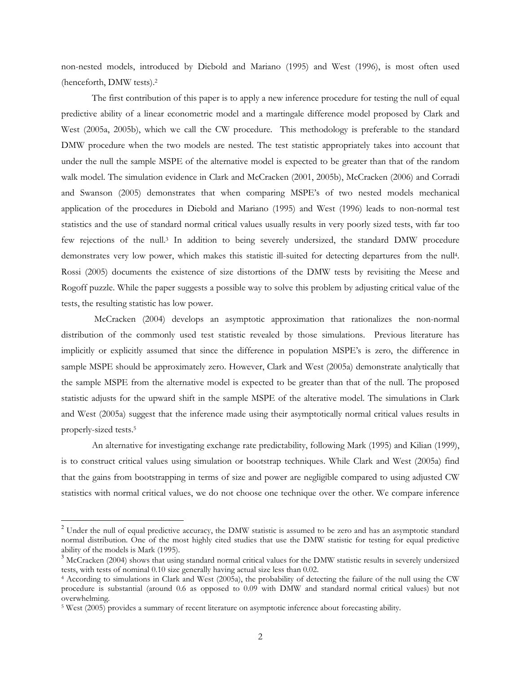non-nested models, introduced by Diebold and Mariano (1995) and West (1996), is most often used (henceforth, DMW tests).<sup>2</sup>

The first contribution of this paper is to apply a new inference procedure for testing the null of equal predictive ability of a linear econometric model and a martingale difference model proposed by Clark and West (2005a, 2005b), which we call the CW procedure. This methodology is preferable to the standard DMW procedure when the two models are nested. The test statistic appropriately takes into account that under the null the sample MSPE of the alternative model is expected to be greater than that of the random walk model. The simulation evidence in Clark and McCracken (2001, 2005b), McCracken (2006) and Corradi and Swanson (2005) demonstrates that when comparing MSPE's of two nested models mechanical application of the procedures in Diebold and Mariano (1995) and West (1996) leads to non-normal test statistics and the use of standard normal critical values usually results in very poorly sized tests, with far too few rejections of the null.<sup>3</sup> In addition to being severely undersized, the standard DMW procedure demonstrates very low power, which makes this statistic ill-suited for detecting departures from the null<sup>4</sup>. Rossi (2005) documents the existence of size distortions of the DMW tests by revisiting the Meese and Rogoff puzzle. While the paper suggests a possible way to solve this problem by adjusting critical value of the tests, the resulting statistic has low power.

 McCracken (2004) develops an asymptotic approximation that rationalizes the non-normal distribution of the commonly used test statistic revealed by those simulations. Previous literature has implicitly or explicitly assumed that since the difference in population MSPE's is zero, the difference in sample MSPE should be approximately zero. However, Clark and West (2005a) demonstrate analytically that the sample MSPE from the alternative model is expected to be greater than that of the null. The proposed statistic adjusts for the upward shift in the sample MSPE of the alterative model. The simulations in Clark and West (2005a) suggest that the inference made using their asymptotically normal critical values results in properly-sized tests.<sup>5</sup>

An alternative for investigating exchange rate predictability, following Mark (1995) and Kilian (1999), is to construct critical values using simulation or bootstrap techniques. While Clark and West (2005a) find that the gains from bootstrapping in terms of size and power are negligible compared to using adjusted CW statistics with normal critical values, we do not choose one technique over the other. We compare inference

 $\overline{a}$ 

<sup>&</sup>lt;sup>2</sup> Under the null of equal predictive accuracy, the DMW statistic is assumed to be zero and has an asymptotic standard normal distribution. One of the most highly cited studies that use the DMW statistic for testing for equal predictive ability of the models is Mark (1995).

<sup>3</sup> McCracken (2004) shows that using standard normal critical values for the DMW statistic results in severely undersized tests, with tests of nominal 0.10 size generally having actual size less than 0.02.

<sup>4</sup> According to simulations in Clark and West (2005a), the probability of detecting the failure of the null using the CW procedure is substantial (around 0.6 as opposed to 0.09 with DMW and standard normal critical values) but not overwhelming.

<sup>&</sup>lt;sup>5</sup> West (2005) provides a summary of recent literature on asymptotic inference about forecasting ability.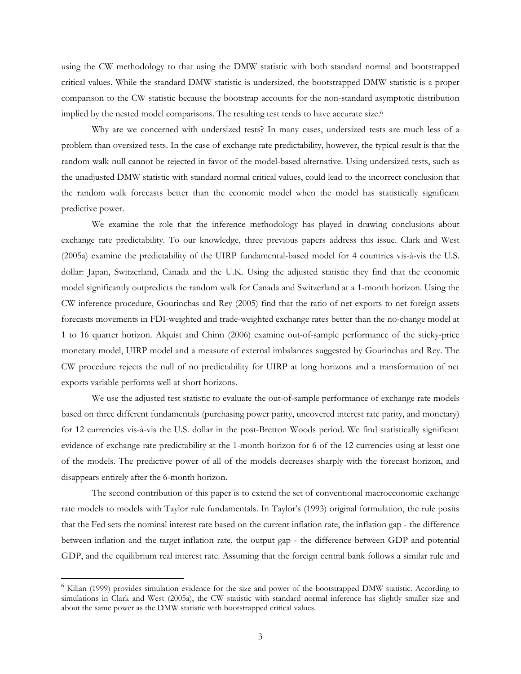using the CW methodology to that using the DMW statistic with both standard normal and bootstrapped critical values. While the standard DMW statistic is undersized, the bootstrapped DMW statistic is a proper comparison to the CW statistic because the bootstrap accounts for the non-standard asymptotic distribution implied by the nested model comparisons. The resulting test tends to have accurate size.<sup>6</sup>

Why are we concerned with undersized tests? In many cases, undersized tests are much less of a problem than oversized tests. In the case of exchange rate predictability, however, the typical result is that the random walk null cannot be rejected in favor of the model-based alternative. Using undersized tests, such as the unadjusted DMW statistic with standard normal critical values, could lead to the incorrect conclusion that the random walk forecasts better than the economic model when the model has statistically significant predictive power.

We examine the role that the inference methodology has played in drawing conclusions about exchange rate predictability. To our knowledge, three previous papers address this issue. Clark and West (2005a) examine the predictability of the UIRP fundamental-based model for 4 countries vis-à-vis the U.S. dollar: Japan, Switzerland, Canada and the U.K. Using the adjusted statistic they find that the economic model significantly outpredicts the random walk for Canada and Switzerland at a 1-month horizon. Using the CW inference procedure, Gourinchas and Rey (2005) find that the ratio of net exports to net foreign assets forecasts movements in FDI-weighted and trade-weighted exchange rates better than the no-change model at 1 to 16 quarter horizon. Alquist and Chinn (2006) examine out-of-sample performance of the sticky-price monetary model, UIRP model and a measure of external imbalances suggested by Gourinchas and Rey. The CW procedure rejects the null of no predictability for UIRP at long horizons and a transformation of net exports variable performs well at short horizons.

We use the adjusted test statistic to evaluate the out-of-sample performance of exchange rate models based on three different fundamentals (purchasing power parity, uncovered interest rate parity, and monetary) for 12 currencies vis-à-vis the U.S. dollar in the post-Bretton Woods period. We find statistically significant evidence of exchange rate predictability at the 1-month horizon for 6 of the 12 currencies using at least one of the models. The predictive power of all of the models decreases sharply with the forecast horizon, and disappears entirely after the 6-month horizon.

The second contribution of this paper is to extend the set of conventional macroeconomic exchange rate models to models with Taylor rule fundamentals. In Taylor's (1993) original formulation, the rule posits that the Fed sets the nominal interest rate based on the current inflation rate, the inflation gap - the difference between inflation and the target inflation rate, the output gap - the difference between GDP and potential GDP, and the equilibrium real interest rate. Assuming that the foreign central bank follows a similar rule and

 $\overline{a}$ 

<sup>6</sup> Kilian (1999) provides simulation evidence for the size and power of the bootstrapped DMW statistic. According to simulations in Clark and West (2005a), the CW statistic with standard normal inference has slightly smaller size and about the same power as the DMW statistic with bootstrapped critical values.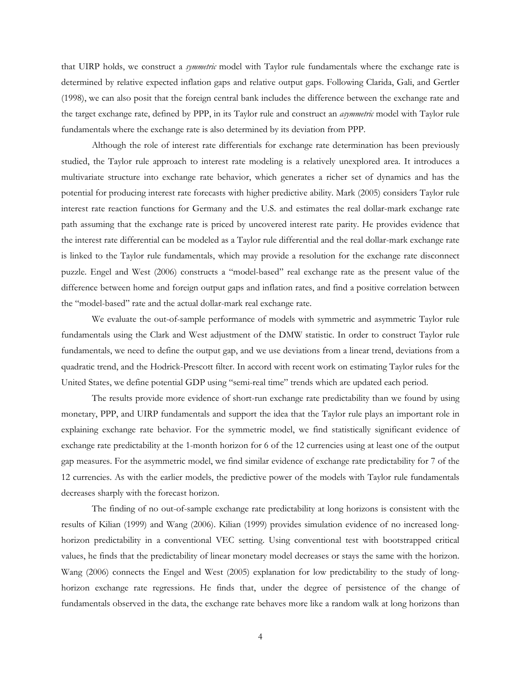that UIRP holds, we construct a *symmetric* model with Taylor rule fundamentals where the exchange rate is determined by relative expected inflation gaps and relative output gaps. Following Clarida, Gali, and Gertler (1998), we can also posit that the foreign central bank includes the difference between the exchange rate and the target exchange rate, defined by PPP, in its Taylor rule and construct an *asymmetric* model with Taylor rule fundamentals where the exchange rate is also determined by its deviation from PPP.

Although the role of interest rate differentials for exchange rate determination has been previously studied, the Taylor rule approach to interest rate modeling is a relatively unexplored area. It introduces a multivariate structure into exchange rate behavior, which generates a richer set of dynamics and has the potential for producing interest rate forecasts with higher predictive ability. Mark (2005) considers Taylor rule interest rate reaction functions for Germany and the U.S. and estimates the real dollar-mark exchange rate path assuming that the exchange rate is priced by uncovered interest rate parity. He provides evidence that the interest rate differential can be modeled as a Taylor rule differential and the real dollar-mark exchange rate is linked to the Taylor rule fundamentals, which may provide a resolution for the exchange rate disconnect puzzle. Engel and West (2006) constructs a "model-based" real exchange rate as the present value of the difference between home and foreign output gaps and inflation rates, and find a positive correlation between the "model-based" rate and the actual dollar-mark real exchange rate.

We evaluate the out-of-sample performance of models with symmetric and asymmetric Taylor rule fundamentals using the Clark and West adjustment of the DMW statistic. In order to construct Taylor rule fundamentals, we need to define the output gap, and we use deviations from a linear trend, deviations from a quadratic trend, and the Hodrick-Prescott filter. In accord with recent work on estimating Taylor rules for the United States, we define potential GDP using "semi-real time" trends which are updated each period.

The results provide more evidence of short-run exchange rate predictability than we found by using monetary, PPP, and UIRP fundamentals and support the idea that the Taylor rule plays an important role in explaining exchange rate behavior. For the symmetric model, we find statistically significant evidence of exchange rate predictability at the 1-month horizon for 6 of the 12 currencies using at least one of the output gap measures. For the asymmetric model, we find similar evidence of exchange rate predictability for 7 of the 12 currencies. As with the earlier models, the predictive power of the models with Taylor rule fundamentals decreases sharply with the forecast horizon.

The finding of no out-of-sample exchange rate predictability at long horizons is consistent with the results of Kilian (1999) and Wang (2006). Kilian (1999) provides simulation evidence of no increased longhorizon predictability in a conventional VEC setting. Using conventional test with bootstrapped critical values, he finds that the predictability of linear monetary model decreases or stays the same with the horizon. Wang (2006) connects the Engel and West (2005) explanation for low predictability to the study of longhorizon exchange rate regressions. He finds that, under the degree of persistence of the change of fundamentals observed in the data, the exchange rate behaves more like a random walk at long horizons than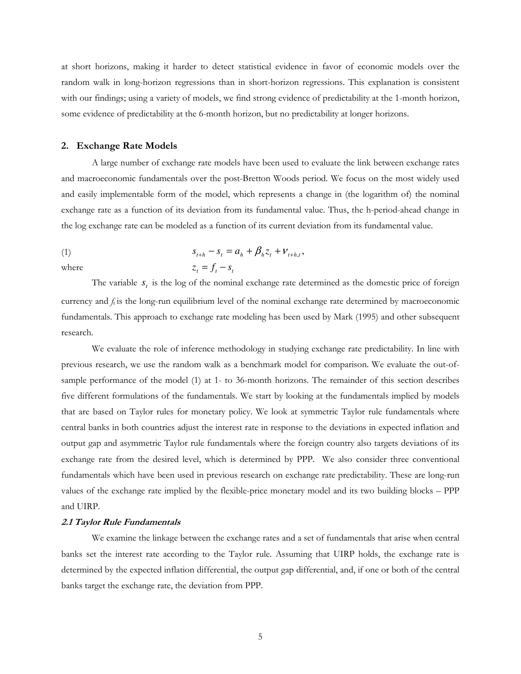at short horizons, making it harder to detect statistical evidence in favor of economic models over the random walk in long-horizon regressions than in short-horizon regressions. This explanation is consistent with our findings; using a variety of models, we find strong evidence of predictability at the 1-month horizon, some evidence of predictability at the 6-month horizon, but no predictability at longer horizons.

#### 2. Exchange Rate Models

A large number of exchange rate models have been used to evaluate the link between exchange rates and macroeconomic fundamentals over the post-Bretton Woods period. We focus on the most widely used and easily implementable form of the model, which represents a change in (the logarithm of) the nominal exchange rate as a function of its deviation from its fundamental value. Thus, the h-period-ahead change in the log exchange rate can be modeled as a function of its current deviation from its fundamental value.

(1) 
$$
s_{t+h} - s_t = a_h + \beta_h z_t + \nu_{t+h,t},
$$
  
where 
$$
z_t = f_t - s_t
$$

The variable  $s_t$  is the log of the nominal exchange rate determined as the domestic price of foreign currency and  $f_t$  is the long-run equilibrium level of the nominal exchange rate determined by macroeconomic fundamentals. This approach to exchange rate modeling has been used by Mark (1995) and other subsequent research.

We evaluate the role of inference methodology in studying exchange rate predictability. In line with previous research, we use the random walk as a benchmark model for comparison. We evaluate the out-ofsample performance of the model (1) at 1- to 36-month horizons. The remainder of this section describes five different formulations of the fundamentals. We start by looking at the fundamentals implied by models that are based on Taylor rules for monetary policy. We look at symmetric Taylor rule fundamentals where central banks in both countries adjust the interest rate in response to the deviations in expected inflation and output gap and asymmetric Taylor rule fundamentals where the foreign country also targets deviations of its exchange rate from the desired level, which is determined by PPP. We also consider three conventional fundamentals which have been used in previous research on exchange rate predictability. These are long-run values of the exchange rate implied by the flexible-price monetary model and its two building blocks – PPP and UIRP.

#### 2.1 Taylor Rule Fundamentals

We examine the linkage between the exchange rates and a set of fundamentals that arise when central banks set the interest rate according to the Taylor rule. Assuming that UIRP holds, the exchange rate is determined by the expected inflation differential, the output gap differential, and, if one or both of the central banks target the exchange rate, the deviation from PPP.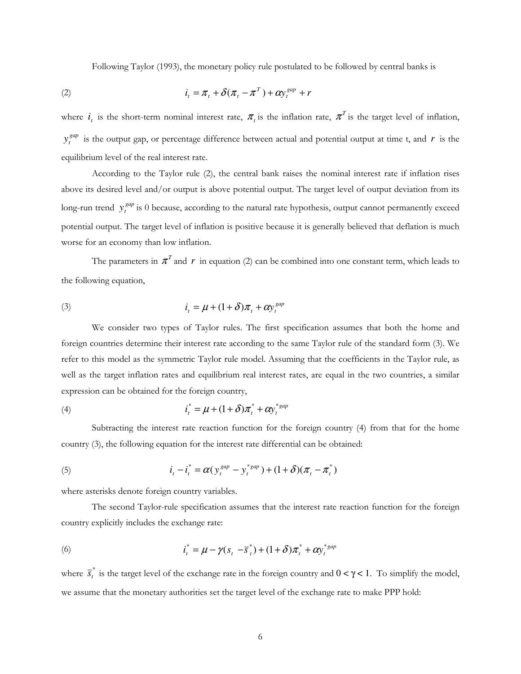Following Taylor (1993), the monetary policy rule postulated to be followed by central banks is

(2) 
$$
i_t = \pi_t + \delta(\pi_t - \pi^T) + \alpha y_t^{gap} + r
$$

where  $i_t$  is the short-term nominal interest rate,  $\pi_t$  is the inflation rate,  $\pi_t$  is the target level of inflation, *gap*  $y_t^{gap}$  is the output gap, or percentage difference between actual and potential output at time t, and *r* is the equilibrium level of the real interest rate.

According to the Taylor rule (2), the central bank raises the nominal interest rate if inflation rises above its desired level and/or output is above potential output. The target level of output deviation from its long-run trend  $y_t^{gap}$  is 0 because, according to the natural rate hypothesis, output cannot permanently exceed potential output. The target level of inflation is positive because it is generally believed that deflation is much worse for an economy than low inflation.

The parameters in  $\pi^r$  and  $r$  in equation (2) can be combined into one constant term, which leads to the following equation,

(3) 
$$
i_t = \mu + (1+\delta)\pi_t + \alpha y_t^{gap}
$$

We consider two types of Taylor rules. The first specification assumes that both the home and foreign countries determine their interest rate according to the same Taylor rule of the standard form (3). We refer to this model as the symmetric Taylor rule model. Assuming that the coefficients in the Taylor rule, as well as the target inflation rates and equilibrium real interest rates, are equal in the two countries, a similar expression can be obtained for the foreign country,

(4) 
$$
i_t^* = \mu + (1+\delta)\pi_t^* + \alpha y_t^{*gap}
$$

Subtracting the interest rate reaction function for the foreign country (4) from that for the home country (3), the following equation for the interest rate differential can be obtained:

(5) 
$$
i_{t} - i_{t}^{*} = \alpha(y_{t}^{gap} - y_{t}^{*gap}) + (1 + \delta)(\pi_{t} - \pi_{t}^{*})
$$

where asterisks denote foreign country variables.

The second Taylor-rule specification assumes that the interest rate reaction function for the foreign country explicitly includes the exchange rate:

(6) 
$$
i_t^* = \mu - \gamma(s_t - \overline{s}_t^*) + (1 + \delta)\pi_t^* + \alpha y_t^{*gap}
$$

where  $\overline{s}_t^*$  is the target level of the exchange rate in the foreign country and  $0 < \gamma < 1$ . To simplify the model, we assume that the monetary authorities set the target level of the exchange rate to make PPP hold: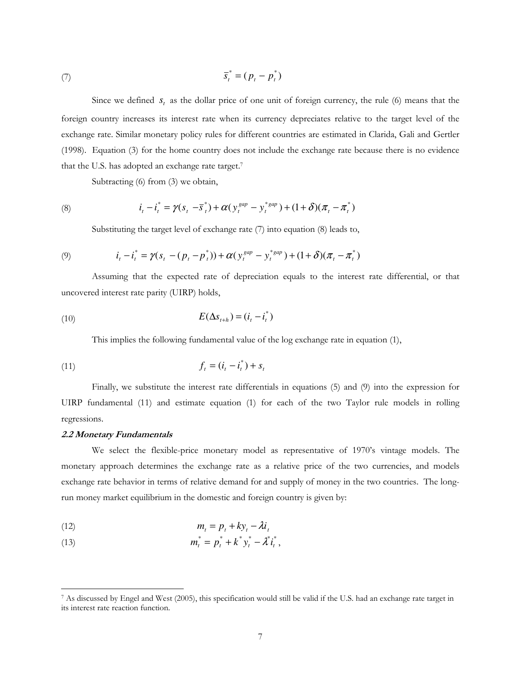$$
\overline{s}_t^* = (p_t - p_t^*)
$$

Since we defined  $s_t$  as the dollar price of one unit of foreign currency, the rule (6) means that the foreign country increases its interest rate when its currency depreciates relative to the target level of the exchange rate. Similar monetary policy rules for different countries are estimated in Clarida, Gali and Gertler (1998). Equation (3) for the home country does not include the exchange rate because there is no evidence that the U.S. has adopted an exchange rate target.<sup>7</sup>

Subtracting (6) from (3) we obtain,

(8) 
$$
i_{t} - i_{t}^{*} = \gamma(s_{t} - \overline{s}_{t}^{*}) + \alpha(y_{t}^{gap} - y_{t}^{*gap}) + (1 + \delta)(\pi_{t} - \pi_{t}^{*})
$$

Substituting the target level of exchange rate (7) into equation (8) leads to,

(9) 
$$
i_{t} - i_{t}^{*} = \gamma(s_{t} - (p_{t} - p_{t}^{*})) + \alpha(y_{t}^{gap} - y_{t}^{*gap}) + (1 + \delta)(\pi_{t} - \pi_{t}^{*})
$$

Assuming that the expected rate of depreciation equals to the interest rate differential, or that uncovered interest rate parity (UIRP) holds,

$$
E(\Delta s_{t+h}) = (i_t - i_t^*)
$$

This implies the following fundamental value of the log exchange rate in equation (1),

(11) 
$$
f_t = (i_t - i_t^*) + s_t
$$

Finally, we substitute the interest rate differentials in equations (5) and (9) into the expression for UIRP fundamental (11) and estimate equation (1) for each of the two Taylor rule models in rolling regressions.

# 2.2 Monetary Fundamentals

We select the flexible-price monetary model as representative of 1970's vintage models. The monetary approach determines the exchange rate as a relative price of the two currencies, and models exchange rate behavior in terms of relative demand for and supply of money in the two countries. The longrun money market equilibrium in the domestic and foreign country is given by:

$$
(12) \t\t m_t = p_t + ky_t - \lambda i_t
$$

(13) 
$$
m_t^* = p_t^* + k^* y_t^* - \lambda^* i_t^*,
$$

 $\overline{a}$ 7 As discussed by Engel and West (2005), this specification would still be valid if the U.S. had an exchange rate target in its interest rate reaction function.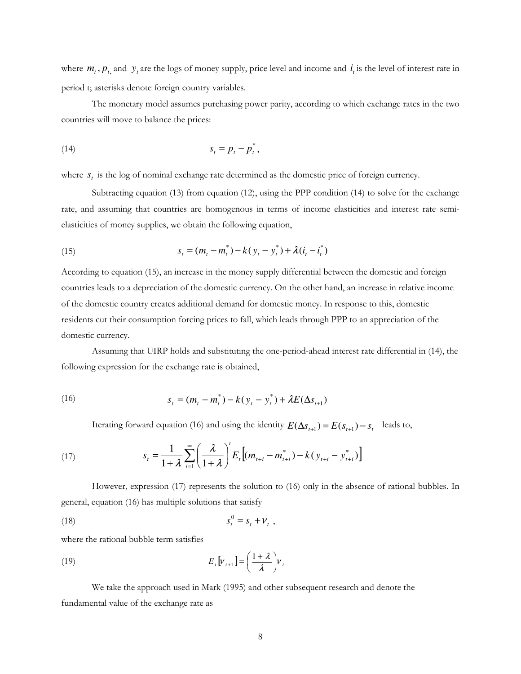where  $m_t$ ,  $p_t$  and  $y_t$  are the logs of money supply, price level and income and  $i_t$  is the level of interest rate in period t; asterisks denote foreign country variables.

The monetary model assumes purchasing power parity, according to which exchange rates in the two countries will move to balance the prices:

$$
(14) \t\t\t s_t = p_t - p_t^*,
$$

where  $s_t$  is the log of nominal exchange rate determined as the domestic price of foreign currency.

Subtracting equation (13) from equation (12), using the PPP condition (14) to solve for the exchange rate, and assuming that countries are homogenous in terms of income elasticities and interest rate semielasticities of money supplies, we obtain the following equation,

(15) 
$$
s_t = (m_t - m_t^*) - k(y_t - y_t^*) + \lambda(i_t - i_t^*)
$$

According to equation (15), an increase in the money supply differential between the domestic and foreign countries leads to a depreciation of the domestic currency. On the other hand, an increase in relative income of the domestic country creates additional demand for domestic money. In response to this, domestic residents cut their consumption forcing prices to fall, which leads through PPP to an appreciation of the domestic currency.

Assuming that UIRP holds and substituting the one-period-ahead interest rate differential in (14), the following expression for the exchange rate is obtained,

(16) 
$$
s_t = (m_t - m_t^*) - k(y_t - y_t^*) + \lambda E(\Delta s_{t+1})
$$

Iterating forward equation (16) and using the identity  $E(\Delta s_{t+1}) = E(s_{t+1}) - s_t$  leads to,

(17) 
$$
s_{t} = \frac{1}{1+\lambda} \sum_{i=1}^{\infty} \left(\frac{\lambda}{1+\lambda}\right)^{t} E_{t} \left[(m_{t+i} - m_{t+i}^{*}) - k(y_{t+i} - y_{t+i}^{*})\right]
$$

However, expression (17) represents the solution to (16) only in the absence of rational bubbles. In general, equation (16) has multiple solutions that satisfy

$$
(18) \t\t s_t^0 = s_t + V_t,
$$

where the rational bubble term satisfies

(19) 
$$
E_t[v_{t+1}] = \left(\frac{1+\lambda}{\lambda}\right)v_t
$$

We take the approach used in Mark (1995) and other subsequent research and denote the fundamental value of the exchange rate as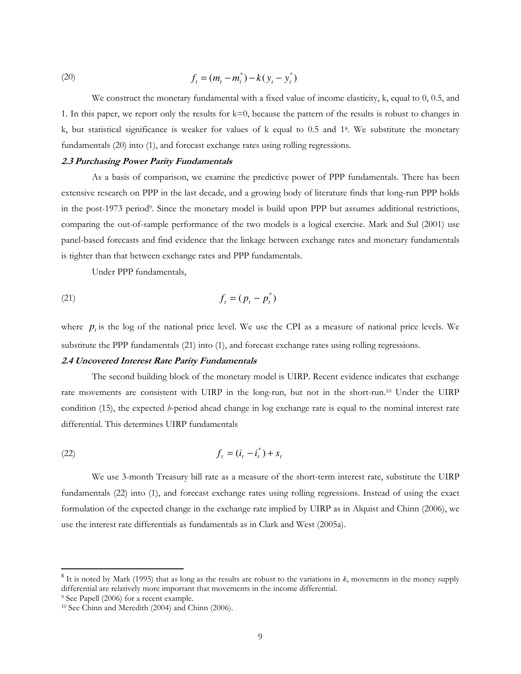(20) 
$$
f_t = (m_t - m_t^*) - k(y_t - y_t^*)
$$

We construct the monetary fundamental with a fixed value of income elasticity, k, equal to 0, 0.5, and 1. In this paper, we report only the results for k=0, because the pattern of the results is robust to changes in k, but statistical significance is weaker for values of k equal to 0.5 and 1<sup>8</sup> . We substitute the monetary fundamentals (20) into (1), and forecast exchange rates using rolling regressions.

#### 2.3 Purchasing Power Parity Fundamentals

As a basis of comparison, we examine the predictive power of PPP fundamentals. There has been extensive research on PPP in the last decade, and a growing body of literature finds that long-run PPP holds in the post-1973 period<sup>9</sup>. Since the monetary model is build upon PPP but assumes additional restrictions, comparing the out-of-sample performance of the two models is a logical exercise. Mark and Sul (2001) use panel-based forecasts and find evidence that the linkage between exchange rates and monetary fundamentals is tighter than that between exchange rates and PPP fundamentals.

Under PPP fundamentals,

$$
(21) \t\t\t f_t = (p_t - p_t^*)
$$

where  $p_t$  is the log of the national price level. We use the CPI as a measure of national price levels. We substitute the PPP fundamentals (21) into (1), and forecast exchange rates using rolling regressions.

# 2.4 Uncovered Interest Rate Parity Fundamentals

The second building block of the monetary model is UIRP. Recent evidence indicates that exchange rate movements are consistent with UIRP in the long-run, but not in the short-run.10 Under the UIRP condition (15), the expected  $$ differential. This determines UIRP fundamentals

$$
(22) \t\t\t f_t = (i_t - i_t^*) + s_t
$$

We use 3-month Treasury bill rate as a measure of the short-term interest rate, substitute the UIRP fundamentals (22) into (1), and forecast exchange rates using rolling regressions. Instead of using the exact formulation of the expected change in the exchange rate implied by UIRP as in Alquist and Chinn (2006), we use the interest rate differentials as fundamentals as in Clark and West (2005a).

<sup>&</sup>lt;sup>8</sup> It is noted by Mark (1995) that as long as the results are robust to the variations in k, movements in the money supply differential are relatively more important that movements in the income differential.

<sup>9</sup> See Papell (2006) for a recent example.

<sup>10</sup> See Chinn and Meredith (2004) and Chinn (2006).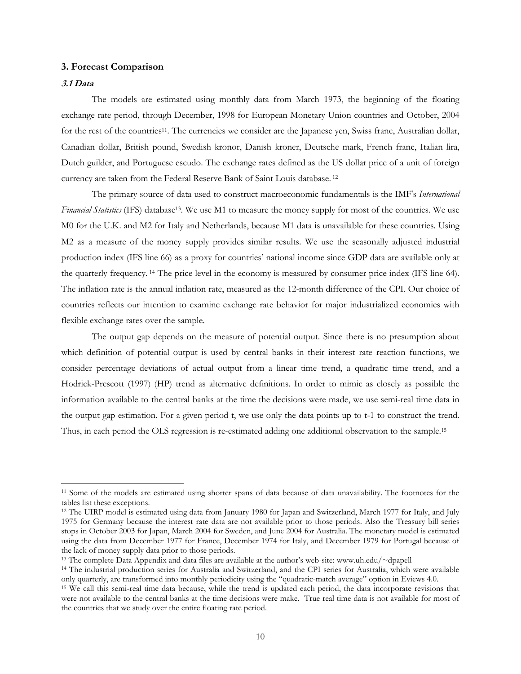### 3. Forecast Comparison

### 3.1 Data

 $\overline{a}$ 

The models are estimated using monthly data from March 1973, the beginning of the floating exchange rate period, through December, 1998 for European Monetary Union countries and October, 2004 for the rest of the countries<sup>11</sup>. The currencies we consider are the Japanese yen, Swiss franc, Australian dollar, Canadian dollar, British pound, Swedish kronor, Danish kroner, Deutsche mark, French franc, Italian lira, Dutch guilder, and Portuguese escudo. The exchange rates defined as the US dollar price of a unit of foreign currency are taken from the Federal Reserve Bank of Saint Louis database.<sup>12</sup>

The primary source of data used to construct macroeconomic fundamentals is the IMF's International Financial Statistics (IFS) database<sup>13</sup>. We use M1 to measure the money supply for most of the countries. We use M0 for the U.K. and M2 for Italy and Netherlands, because M1 data is unavailable for these countries. Using M2 as a measure of the money supply provides similar results. We use the seasonally adjusted industrial production index (IFS line 66) as a proxy for countries' national income since GDP data are available only at the quarterly frequency. 14 The price level in the economy is measured by consumer price index (IFS line 64). The inflation rate is the annual inflation rate, measured as the 12-month difference of the CPI. Our choice of countries reflects our intention to examine exchange rate behavior for major industrialized economies with flexible exchange rates over the sample.

The output gap depends on the measure of potential output. Since there is no presumption about which definition of potential output is used by central banks in their interest rate reaction functions, we consider percentage deviations of actual output from a linear time trend, a quadratic time trend, and a Hodrick-Prescott (1997) (HP) trend as alternative definitions. In order to mimic as closely as possible the information available to the central banks at the time the decisions were made, we use semi-real time data in the output gap estimation. For a given period t, we use only the data points up to t-1 to construct the trend. Thus, in each period the OLS regression is re-estimated adding one additional observation to the sample.<sup>15</sup>

<sup>11</sup> Some of the models are estimated using shorter spans of data because of data unavailability. The footnotes for the tables list these exceptions.

<sup>&</sup>lt;sup>12</sup> The UIRP model is estimated using data from January 1980 for Japan and Switzerland, March 1977 for Italy, and July 1975 for Germany because the interest rate data are not available prior to those periods. Also the Treasury bill series stops in October 2003 for Japan, March 2004 for Sweden, and June 2004 for Australia. The monetary model is estimated using the data from December 1977 for France, December 1974 for Italy, and December 1979 for Portugal because of the lack of money supply data prior to those periods.

<sup>13</sup> The complete Data Appendix and data files are available at the author's web-site: www.uh.edu/~dpapell

<sup>14</sup> The industrial production series for Australia and Switzerland, and the CPI series for Australia, which were available only quarterly, are transformed into monthly periodicity using the "quadratic-match average" option in Eviews 4.0.

<sup>15</sup> We call this semi-real time data because, while the trend is updated each period, the data incorporate revisions that were not available to the central banks at the time decisions were make. True real time data is not available for most of the countries that we study over the entire floating rate period.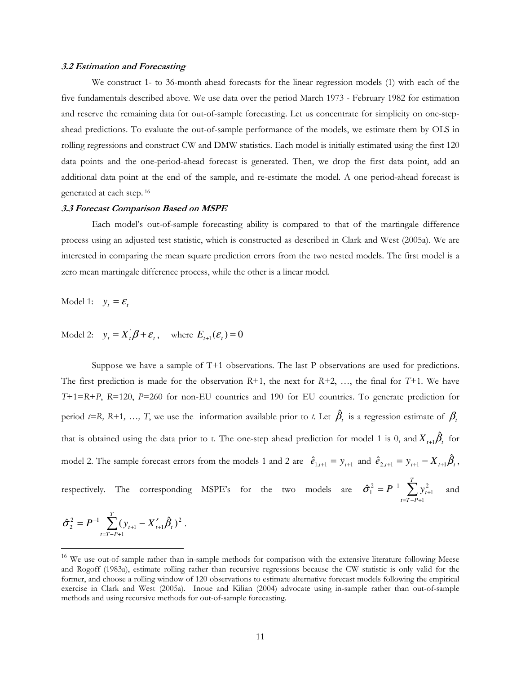#### 3.2 Estimation and Forecasting

We construct 1- to 36-month ahead forecasts for the linear regression models (1) with each of the five fundamentals described above. We use data over the period March 1973 - February 1982 for estimation and reserve the remaining data for out-of-sample forecasting. Let us concentrate for simplicity on one-stepahead predictions. To evaluate the out-of-sample performance of the models, we estimate them by OLS in rolling regressions and construct CW and DMW statistics. Each model is initially estimated using the first 120 data points and the one-period-ahead forecast is generated. Then, we drop the first data point, add an additional data point at the end of the sample, and re-estimate the model. A one period-ahead forecast is generated at each step.<sup>16</sup>

#### 3.3 Forecast Comparison Based on MSPE

Each model's out-of-sample forecasting ability is compared to that of the martingale difference process using an adjusted test statistic, which is constructed as described in Clark and West (2005a). We are interested in comparing the mean square prediction errors from the two nested models. The first model is a zero mean martingale difference process, while the other is a linear model.

Model 1:  $y_t = \mathcal{E}_t$ 

Model 2:  $y_t = X_t \beta + \varepsilon_t$ , where  $E_{t+1}(\varepsilon_t) = 0$ 

Suppose we have a sample of T+1 observations. The last P observations are used for predictions. The first prediction is made for the observation  $R+1$ , the next for  $R+2$ , ..., the final for  $T+1$ . We have T+1=R+P, R=120, P=260 for non-EU countries and 190 for EU countries. To generate prediction for period *t*=R, R+1, …, T, we use the information available prior to *t*. Let  $\hat{\beta}_t$  is a regression estimate of  $\beta_t$ that is obtained using the data prior to t. The one-step ahead prediction for model 1 is 0, and  $X_{t+1}\hat{\beta}_t$  for model 2. The sample forecast errors from the models 1 and 2 are  $\hat{e}_{1,t+1} = y_{t+1}$  and  $\hat{e}_{2,t+1} = y_{t+1} - X_{t+1} \hat{\beta}_t$ , respectively. The corresponding MSPE's for the two models are  $\hat{\sigma}_1^2 = P^{-1} \sum_{i=1}^{N}$  $=T-P+$ +  $= P^-$ *T*  $t = T - P$  $P^{-1}$   $\sum y_i^2$ 1 2 1  $\hat{\sigma}_1^2 = P^{-1} \sum y_{t+1}^2$  and

$$
\hat{\sigma}_2^2 = P^{-1} \sum_{t=T-P+1}^T (y_{t+1} - X_{t+1}' \hat{\beta}_t)^2.
$$

 $\overline{a}$ 

 $16$  We use out-of-sample rather than in-sample methods for comparison with the extensive literature following Meese and Rogoff (1983a), estimate rolling rather than recursive regressions because the CW statistic is only valid for the former, and choose a rolling window of 120 observations to estimate alternative forecast models following the empirical exercise in Clark and West (2005a). Inoue and Kilian (2004) advocate using in-sample rather than out-of-sample methods and using recursive methods for out-of-sample forecasting.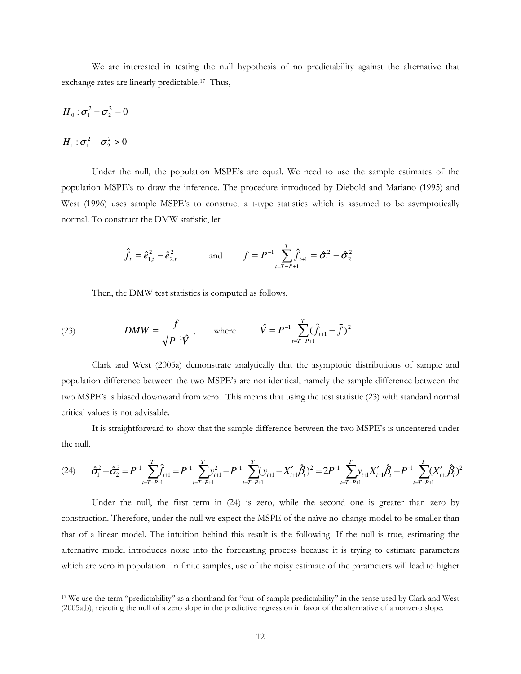We are interested in testing the null hypothesis of no predictability against the alternative that exchange rates are linearly predictable.17 Thus,

$$
H_0: \sigma_1^2 - \sigma_2^2 = 0
$$

$$
H_1: \sigma_1^2 - \sigma_2^2 > 0
$$

 $\overline{a}$ 

Under the null, the population MSPE's are equal. We need to use the sample estimates of the population MSPE's to draw the inference. The procedure introduced by Diebold and Mariano (1995) and West (1996) uses sample MSPE's to construct a t-type statistics which is assumed to be asymptotically normal. To construct the DMW statistic, let

$$
\hat{f}_t = \hat{e}_{1,t}^2 - \hat{e}_{2,t}^2
$$
 and  $\bar{f} = P^{-1} \sum_{t=T-P+1}^{T} \hat{f}_{t+1} = \hat{\sigma}_1^2 - \hat{\sigma}_2^2$ 

Then, the DMW test statistics is computed as follows,

(23) 
$$
DMW = \frac{\bar{f}}{\sqrt{P^{-1}\hat{V}}}, \text{ where } \hat{V} = P^{-1} \sum_{t=T-P+1}^{T} (\hat{f}_{t+1} - \bar{f})^2
$$

Clark and West (2005a) demonstrate analytically that the asymptotic distributions of sample and population difference between the two MSPE's are not identical, namely the sample difference between the two MSPE's is biased downward from zero. This means that using the test statistic (23) with standard normal critical values is not advisable.

It is straightforward to show that the sample difference between the two MSPE's is uncentered under the null.

$$
(24) \qquad \hat{\sigma}_{1}^{2} - \hat{\sigma}_{2}^{2} = P^{-1} \sum_{t=T-P+1}^{T} \hat{f}_{t+1} = P^{-1} \sum_{t=T-P+1}^{T} y_{t+1}^{2} - P^{-1} \sum_{t=T-P+1}^{T} (y_{t+1} - X_{t+1}'\hat{\beta}_{t})^{2} = 2P^{-1} \sum_{t=T-P+1}^{T} y_{t+1}X_{t+1}'\hat{\beta}_{t} - P^{-1} \sum_{t=T-P+1}^{T} (X_{t+1}'\hat{\beta}_{t})^{2}
$$

Under the null, the first term in (24) is zero, while the second one is greater than zero by construction. Therefore, under the null we expect the MSPE of the naïve no-change model to be smaller than that of a linear model. The intuition behind this result is the following. If the null is true, estimating the alternative model introduces noise into the forecasting process because it is trying to estimate parameters which are zero in population. In finite samples, use of the noisy estimate of the parameters will lead to higher

<sup>17</sup> We use the term "predictability" as a shorthand for "out-of-sample predictability" in the sense used by Clark and West (2005a,b), rejecting the null of a zero slope in the predictive regression in favor of the alternative of a nonzero slope.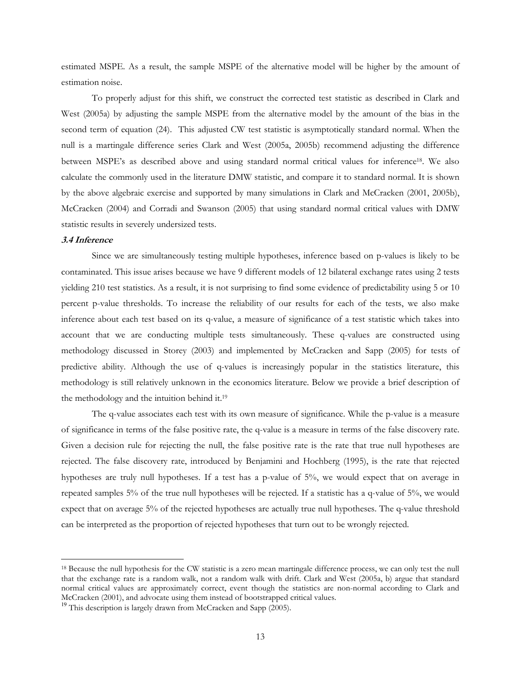estimated MSPE. As a result, the sample MSPE of the alternative model will be higher by the amount of estimation noise.

To properly adjust for this shift, we construct the corrected test statistic as described in Clark and West (2005a) by adjusting the sample MSPE from the alternative model by the amount of the bias in the second term of equation (24). This adjusted CW test statistic is asymptotically standard normal. When the null is a martingale difference series Clark and West (2005a, 2005b) recommend adjusting the difference between MSPE's as described above and using standard normal critical values for inference18. We also calculate the commonly used in the literature DMW statistic, and compare it to standard normal. It is shown by the above algebraic exercise and supported by many simulations in Clark and McCracken (2001, 2005b), McCracken (2004) and Corradi and Swanson (2005) that using standard normal critical values with DMW statistic results in severely undersized tests.

#### 3.4 Inference

 $\overline{a}$ 

Since we are simultaneously testing multiple hypotheses, inference based on p-values is likely to be contaminated. This issue arises because we have 9 different models of 12 bilateral exchange rates using 2 tests yielding 210 test statistics. As a result, it is not surprising to find some evidence of predictability using 5 or 10 percent p-value thresholds. To increase the reliability of our results for each of the tests, we also make inference about each test based on its q-value, a measure of significance of a test statistic which takes into account that we are conducting multiple tests simultaneously. These q-values are constructed using methodology discussed in Storey (2003) and implemented by McCracken and Sapp (2005) for tests of predictive ability. Although the use of q-values is increasingly popular in the statistics literature, this methodology is still relatively unknown in the economics literature. Below we provide a brief description of the methodology and the intuition behind it.<sup>19</sup>

The q-value associates each test with its own measure of significance. While the p-value is a measure of significance in terms of the false positive rate, the q-value is a measure in terms of the false discovery rate. Given a decision rule for rejecting the null, the false positive rate is the rate that true null hypotheses are rejected. The false discovery rate, introduced by Benjamini and Hochberg (1995), is the rate that rejected hypotheses are truly null hypotheses. If a test has a p-value of 5%, we would expect that on average in repeated samples 5% of the true null hypotheses will be rejected. If a statistic has a q-value of 5%, we would expect that on average 5% of the rejected hypotheses are actually true null hypotheses. The q-value threshold can be interpreted as the proportion of rejected hypotheses that turn out to be wrongly rejected.

<sup>&</sup>lt;sup>18</sup> Because the null hypothesis for the CW statistic is a zero mean martingale difference process, we can only test the null that the exchange rate is a random walk, not a random walk with drift. Clark and West (2005a, b) argue that standard normal critical values are approximately correct, event though the statistics are non-normal according to Clark and McCracken (2001), and advocate using them instead of bootstrapped critical values.

 $19$  This description is largely drawn from McCracken and Sapp (2005).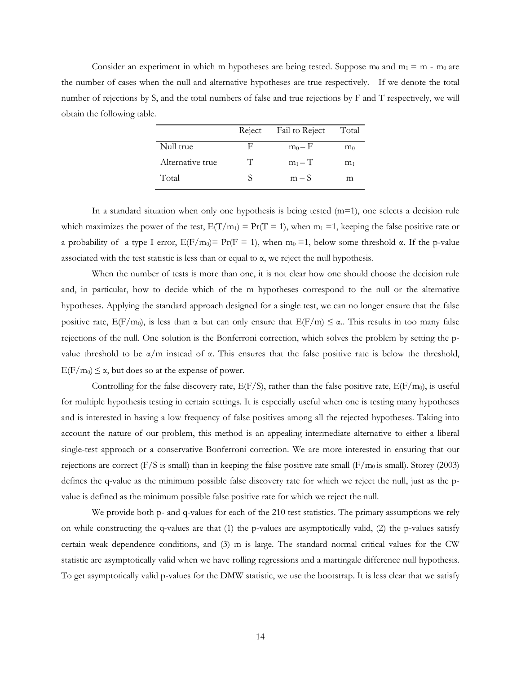Consider an experiment in which m hypotheses are being tested. Suppose  $m_0$  and  $m_1 = m - m_0$  are the number of cases when the null and alternative hypotheses are true respectively. If we denote the total number of rejections by S, and the total numbers of false and true rejections by F and T respectively, we will obtain the following table.

|                  | Reject | Fail to Reject | Total          |
|------------------|--------|----------------|----------------|
| Null true        | F      | $m_0 - F$      | $m_0$          |
| Alternative true | T      | $m_1 - T$      | m <sub>1</sub> |
| Total            | <      | $m-S$          | m              |

In a standard situation when only one hypothesis is being tested  $(m=1)$ , one selects a decision rule which maximizes the power of the test,  $E(T/m_1) = Pr(T = 1)$ , when  $m_1 = 1$ , keeping the false positive rate or a probability of a type I error,  $E(F/m_0) = Pr(F = 1)$ , when  $m_0 = 1$ , below some threshold  $\alpha$ . If the p-value associated with the test statistic is less than or equal to  $\alpha$ , we reject the null hypothesis.

When the number of tests is more than one, it is not clear how one should choose the decision rule and, in particular, how to decide which of the m hypotheses correspond to the null or the alternative hypotheses. Applying the standard approach designed for a single test, we can no longer ensure that the false positive rate,  $E(F/m_0)$ , is less than  $\alpha$  but can only ensure that  $E(F/m) \leq \alpha$ . This results in too many false rejections of the null. One solution is the Bonferroni correction, which solves the problem by setting the pvalue threshold to be  $\alpha/m$  instead of  $\alpha$ . This ensures that the false positive rate is below the threshold,  $E(F/m_0) \leq \alpha$ , but does so at the expense of power.

Controlling for the false discovery rate,  $E(F/S)$ , rather than the false positive rate,  $E(F/m_0)$ , is useful for multiple hypothesis testing in certain settings. It is especially useful when one is testing many hypotheses and is interested in having a low frequency of false positives among all the rejected hypotheses. Taking into account the nature of our problem, this method is an appealing intermediate alternative to either a liberal single-test approach or a conservative Bonferroni correction. We are more interested in ensuring that our rejections are correct (F/S is small) than in keeping the false positive rate small ( $F/m_0$  is small). Storey (2003) defines the q-value as the minimum possible false discovery rate for which we reject the null, just as the pvalue is defined as the minimum possible false positive rate for which we reject the null.

We provide both p- and q-values for each of the 210 test statistics. The primary assumptions we rely on while constructing the q-values are that (1) the p-values are asymptotically valid, (2) the p-values satisfy certain weak dependence conditions, and (3) m is large. The standard normal critical values for the CW statistic are asymptotically valid when we have rolling regressions and a martingale difference null hypothesis. To get asymptotically valid p-values for the DMW statistic, we use the bootstrap. It is less clear that we satisfy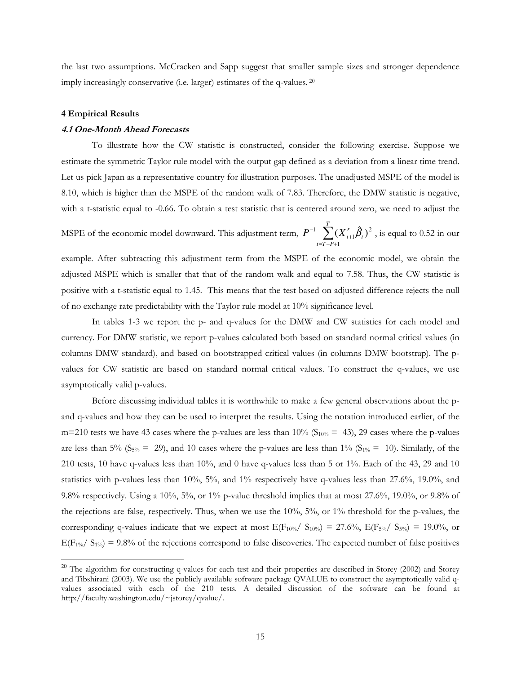the last two assumptions. McCracken and Sapp suggest that smaller sample sizes and stronger dependence imply increasingly conservative (i.e. larger) estimates of the q-values.<sup>20</sup>

#### 4 Empirical Results

 $\overline{a}$ 

#### 4.1 One-Month Ahead Forecasts

To illustrate how the CW statistic is constructed, consider the following exercise. Suppose we estimate the symmetric Taylor rule model with the output gap defined as a deviation from a linear time trend. Let us pick Japan as a representative country for illustration purposes. The unadjusted MSPE of the model is 8.10, which is higher than the MSPE of the random walk of 7.83. Therefore, the DMW statistic is negative, with a t-statistic equal to -0.66. To obtain a test statistic that is centered around zero, we need to adjust the

MSPE of the economic model downward. This adjustment term,  $P^{-1}$   $\sum$  $=T-P+$ +  $^{-1}$   $\sum_{i=1}^{T} (X'_i)$  $t = T - P$  $P^{-1}$   $\sum$   $(X_{t+1}'\beta_t$ 1 2 1 <sup>1</sup>  $\sum (X_{t+1}'\hat{\beta}_t)^2$ , is equal to 0.52 in our

example. After subtracting this adjustment term from the MSPE of the economic model, we obtain the adjusted MSPE which is smaller that that of the random walk and equal to 7.58. Thus, the CW statistic is positive with a t-statistic equal to 1.45. This means that the test based on adjusted difference rejects the null of no exchange rate predictability with the Taylor rule model at 10% significance level.

In tables 1-3 we report the p- and q-values for the DMW and CW statistics for each model and currency. For DMW statistic, we report p-values calculated both based on standard normal critical values (in columns DMW standard), and based on bootstrapped critical values (in columns DMW bootstrap). The pvalues for CW statistic are based on standard normal critical values. To construct the q-values, we use asymptotically valid p-values.

Before discussing individual tables it is worthwhile to make a few general observations about the pand q-values and how they can be used to interpret the results. Using the notation introduced earlier, of the m=210 tests we have 43 cases where the p-values are less than  $10\%$  (S<sub>10%</sub> = 43), 29 cases where the p-values are less than 5% (S<sub>5%</sub> = 29), and 10 cases where the p-values are less than 1% (S<sub>1%</sub> = 10). Similarly, of the 210 tests, 10 have q-values less than 10%, and 0 have q-values less than 5 or 1%. Each of the 43, 29 and 10 statistics with p-values less than 10%, 5%, and 1% respectively have q-values less than 27.6%, 19.0%, and 9.8% respectively. Using a 10%, 5%, or 1% p-value threshold implies that at most 27.6%, 19.0%, or 9.8% of the rejections are false, respectively. Thus, when we use the 10%, 5%, or 1% threshold for the p-values, the corresponding q-values indicate that we expect at most  $E(F_{10\%}/S_{10\%}) = 27.6\%$ ,  $E(F_{5\%}/S_{5\%}) = 19.0\%$ , or  $E(F_{1\%}/ S_{1\%}) = 9.8\%$  of the rejections correspond to false discoveries. The expected number of false positives

<sup>&</sup>lt;sup>20</sup> The algorithm for constructing q-values for each test and their properties are described in Storey (2002) and Storey and Tibshirani (2003). We use the publicly available software package QVALUE to construct the asymptotically valid qvalues associated with each of the 210 tests. A detailed discussion of the software can be found at http://faculty.washington.edu/~jstorey/qvalue/.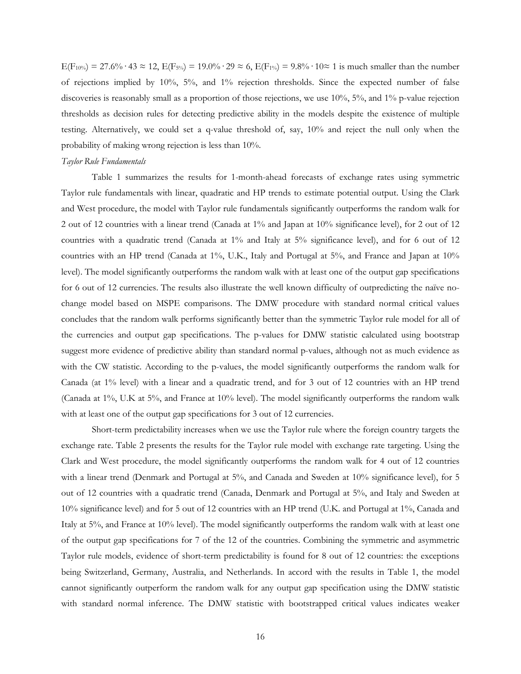$E(F_{10\%}) = 27.6\% \cdot 43 \approx 12$ ,  $E(F_{5\%}) = 19.0\% \cdot 29 \approx 6$ ,  $E(F_{1\%}) = 9.8\% \cdot 10 \approx 1$  is much smaller than the number of rejections implied by 10%, 5%, and 1% rejection thresholds. Since the expected number of false discoveries is reasonably small as a proportion of those rejections, we use 10%, 5%, and 1% p-value rejection thresholds as decision rules for detecting predictive ability in the models despite the existence of multiple testing. Alternatively, we could set a q-value threshold of, say, 10% and reject the null only when the probability of making wrong rejection is less than 10%.

#### Taylor Rule Fundamentals

Table 1 summarizes the results for 1-month-ahead forecasts of exchange rates using symmetric Taylor rule fundamentals with linear, quadratic and HP trends to estimate potential output. Using the Clark and West procedure, the model with Taylor rule fundamentals significantly outperforms the random walk for 2 out of 12 countries with a linear trend (Canada at 1% and Japan at 10% significance level), for 2 out of 12 countries with a quadratic trend (Canada at 1% and Italy at 5% significance level), and for 6 out of 12 countries with an HP trend (Canada at 1%, U.K., Italy and Portugal at 5%, and France and Japan at 10% level). The model significantly outperforms the random walk with at least one of the output gap specifications for 6 out of 12 currencies. The results also illustrate the well known difficulty of outpredicting the naïve nochange model based on MSPE comparisons. The DMW procedure with standard normal critical values concludes that the random walk performs significantly better than the symmetric Taylor rule model for all of the currencies and output gap specifications. The p-values for DMW statistic calculated using bootstrap suggest more evidence of predictive ability than standard normal p-values, although not as much evidence as with the CW statistic. According to the p-values, the model significantly outperforms the random walk for Canada (at 1% level) with a linear and a quadratic trend, and for 3 out of 12 countries with an HP trend (Canada at 1%, U.K at 5%, and France at 10% level). The model significantly outperforms the random walk with at least one of the output gap specifications for 3 out of 12 currencies.

Short-term predictability increases when we use the Taylor rule where the foreign country targets the exchange rate. Table 2 presents the results for the Taylor rule model with exchange rate targeting. Using the Clark and West procedure, the model significantly outperforms the random walk for 4 out of 12 countries with a linear trend (Denmark and Portugal at 5%, and Canada and Sweden at 10% significance level), for 5 out of 12 countries with a quadratic trend (Canada, Denmark and Portugal at 5%, and Italy and Sweden at 10% significance level) and for 5 out of 12 countries with an HP trend (U.K. and Portugal at 1%, Canada and Italy at 5%, and France at 10% level). The model significantly outperforms the random walk with at least one of the output gap specifications for 7 of the 12 of the countries. Combining the symmetric and asymmetric Taylor rule models, evidence of short-term predictability is found for 8 out of 12 countries: the exceptions being Switzerland, Germany, Australia, and Netherlands. In accord with the results in Table 1, the model cannot significantly outperform the random walk for any output gap specification using the DMW statistic with standard normal inference. The DMW statistic with bootstrapped critical values indicates weaker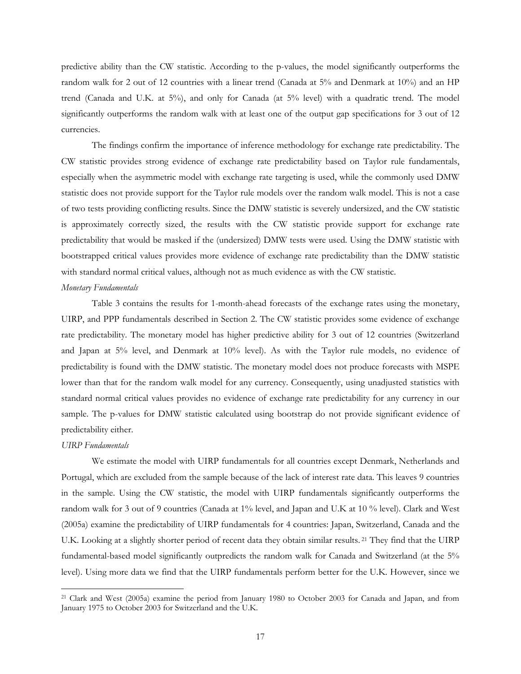predictive ability than the CW statistic. According to the p-values, the model significantly outperforms the random walk for 2 out of 12 countries with a linear trend (Canada at 5% and Denmark at 10%) and an HP trend (Canada and U.K. at 5%), and only for Canada (at 5% level) with a quadratic trend. The model significantly outperforms the random walk with at least one of the output gap specifications for 3 out of 12 currencies.

The findings confirm the importance of inference methodology for exchange rate predictability. The CW statistic provides strong evidence of exchange rate predictability based on Taylor rule fundamentals, especially when the asymmetric model with exchange rate targeting is used, while the commonly used DMW statistic does not provide support for the Taylor rule models over the random walk model. This is not a case of two tests providing conflicting results. Since the DMW statistic is severely undersized, and the CW statistic is approximately correctly sized, the results with the CW statistic provide support for exchange rate predictability that would be masked if the (undersized) DMW tests were used. Using the DMW statistic with bootstrapped critical values provides more evidence of exchange rate predictability than the DMW statistic with standard normal critical values, although not as much evidence as with the CW statistic.

#### Monetary Fundamentals

Table 3 contains the results for 1-month-ahead forecasts of the exchange rates using the monetary, UIRP, and PPP fundamentals described in Section 2. The CW statistic provides some evidence of exchange rate predictability. The monetary model has higher predictive ability for 3 out of 12 countries (Switzerland and Japan at 5% level, and Denmark at 10% level). As with the Taylor rule models, no evidence of predictability is found with the DMW statistic. The monetary model does not produce forecasts with MSPE lower than that for the random walk model for any currency. Consequently, using unadjusted statistics with standard normal critical values provides no evidence of exchange rate predictability for any currency in our sample. The p-values for DMW statistic calculated using bootstrap do not provide significant evidence of predictability either.

#### UIRP Fundamentals

 $\overline{a}$ 

We estimate the model with UIRP fundamentals for all countries except Denmark, Netherlands and Portugal, which are excluded from the sample because of the lack of interest rate data. This leaves 9 countries in the sample. Using the CW statistic, the model with UIRP fundamentals significantly outperforms the random walk for 3 out of 9 countries (Canada at 1% level, and Japan and U.K at 10 % level). Clark and West (2005a) examine the predictability of UIRP fundamentals for 4 countries: Japan, Switzerland, Canada and the U.K. Looking at a slightly shorter period of recent data they obtain similar results. 21 They find that the UIRP fundamental-based model significantly outpredicts the random walk for Canada and Switzerland (at the 5% level). Using more data we find that the UIRP fundamentals perform better for the U.K. However, since we

<sup>21</sup> Clark and West (2005a) examine the period from January 1980 to October 2003 for Canada and Japan, and from January 1975 to October 2003 for Switzerland and the U.K.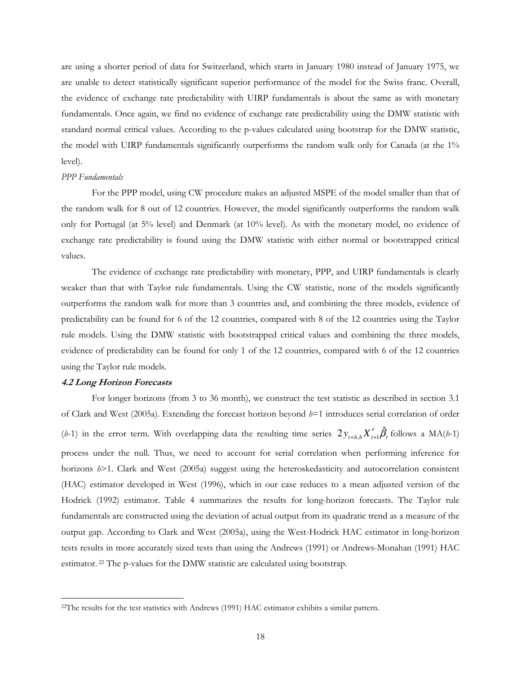are using a shorter period of data for Switzerland, which starts in January 1980 instead of January 1975, we are unable to detect statistically significant superior performance of the model for the Swiss franc. Overall, the evidence of exchange rate predictability with UIRP fundamentals is about the same as with monetary fundamentals. Once again, we find no evidence of exchange rate predictability using the DMW statistic with standard normal critical values. According to the p-values calculated using bootstrap for the DMW statistic, the model with UIRP fundamentals significantly outperforms the random walk only for Canada (at the 1% level).

#### PPP Fundamentals

For the PPP model, using CW procedure makes an adjusted MSPE of the model smaller than that of the random walk for 8 out of 12 countries. However, the model significantly outperforms the random walk only for Portugal (at 5% level) and Denmark (at 10% level). As with the monetary model, no evidence of exchange rate predictability is found using the DMW statistic with either normal or bootstrapped critical values.

The evidence of exchange rate predictability with monetary, PPP, and UIRP fundamentals is clearly weaker than that with Taylor rule fundamentals. Using the CW statistic, none of the models significantly outperforms the random walk for more than 3 countries and, and combining the three models, evidence of predictability can be found for 6 of the 12 countries, compared with 8 of the 12 countries using the Taylor rule models. Using the DMW statistic with bootstrapped critical values and combining the three models, evidence of predictability can be found for only 1 of the 12 countries, compared with 6 of the 12 countries using the Taylor rule models.

#### 4.2 Long Horizon Forecasts

 $\overline{a}$ 

For longer horizons (from 3 to 36 month), we construct the test statistic as described in section 3.1 of Clark and West (2005a). Extending the forecast horizon beyond  $h=1$  introduces serial correlation of order (*h*-1) in the error term. With overlapping data the resulting time series  $2y_{t+h,h}X'_{t+1}\hat{\beta}_t$  follows a MA(*h*-1) process under the null. Thus, we need to account for serial correlation when performing inference for horizons  $h$  >1. Clark and West (2005a) suggest using the heteroskedasticity and autocorrelation consistent (HAC) estimator developed in West (1996), which in our case reduces to a mean adjusted version of the Hodrick (1992) estimator. Table 4 summarizes the results for long-horizon forecasts. The Taylor rule fundamentals are constructed using the deviation of actual output from its quadratic trend as a measure of the output gap. According to Clark and West (2005a), using the West-Hodrick HAC estimator in long-horizon tests results in more accurately sized tests than using the Andrews (1991) or Andrews-Monahan (1991) HAC estimator. 22 The p-values for the DMW statistic are calculated using bootstrap.

<sup>&</sup>lt;sup>22</sup>The results for the test statistics with Andrews (1991) HAC estimator exhibits a similar pattern.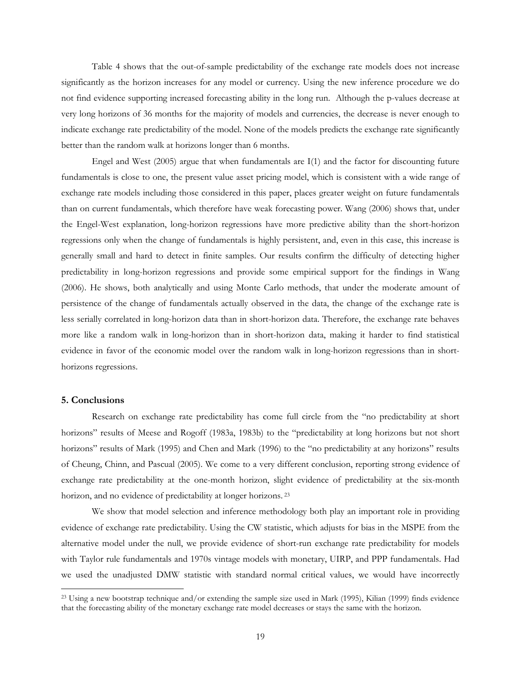Table 4 shows that the out-of-sample predictability of the exchange rate models does not increase significantly as the horizon increases for any model or currency. Using the new inference procedure we do not find evidence supporting increased forecasting ability in the long run. Although the p-values decrease at very long horizons of 36 months for the majority of models and currencies, the decrease is never enough to indicate exchange rate predictability of the model. None of the models predicts the exchange rate significantly better than the random walk at horizons longer than 6 months.

Engel and West (2005) argue that when fundamentals are I(1) and the factor for discounting future fundamentals is close to one, the present value asset pricing model, which is consistent with a wide range of exchange rate models including those considered in this paper, places greater weight on future fundamentals than on current fundamentals, which therefore have weak forecasting power. Wang (2006) shows that, under the Engel-West explanation, long-horizon regressions have more predictive ability than the short-horizon regressions only when the change of fundamentals is highly persistent, and, even in this case, this increase is generally small and hard to detect in finite samples. Our results confirm the difficulty of detecting higher predictability in long-horizon regressions and provide some empirical support for the findings in Wang (2006). He shows, both analytically and using Monte Carlo methods, that under the moderate amount of persistence of the change of fundamentals actually observed in the data, the change of the exchange rate is less serially correlated in long-horizon data than in short-horizon data. Therefore, the exchange rate behaves more like a random walk in long-horizon than in short-horizon data, making it harder to find statistical evidence in favor of the economic model over the random walk in long-horizon regressions than in shorthorizons regressions.

# 5. Conclusions

 $\overline{a}$ 

Research on exchange rate predictability has come full circle from the "no predictability at short horizons" results of Meese and Rogoff (1983a, 1983b) to the "predictability at long horizons but not short horizons" results of Mark (1995) and Chen and Mark (1996) to the "no predictability at any horizons" results of Cheung, Chinn, and Pascual (2005). We come to a very different conclusion, reporting strong evidence of exchange rate predictability at the one-month horizon, slight evidence of predictability at the six-month horizon, and no evidence of predictability at longer horizons.<sup>23</sup>

We show that model selection and inference methodology both play an important role in providing evidence of exchange rate predictability. Using the CW statistic, which adjusts for bias in the MSPE from the alternative model under the null, we provide evidence of short-run exchange rate predictability for models with Taylor rule fundamentals and 1970s vintage models with monetary, UIRP, and PPP fundamentals. Had we used the unadjusted DMW statistic with standard normal critical values, we would have incorrectly

<sup>&</sup>lt;sup>23</sup> Using a new bootstrap technique and/or extending the sample size used in Mark (1995), Kilian (1999) finds evidence that the forecasting ability of the monetary exchange rate model decreases or stays the same with the horizon.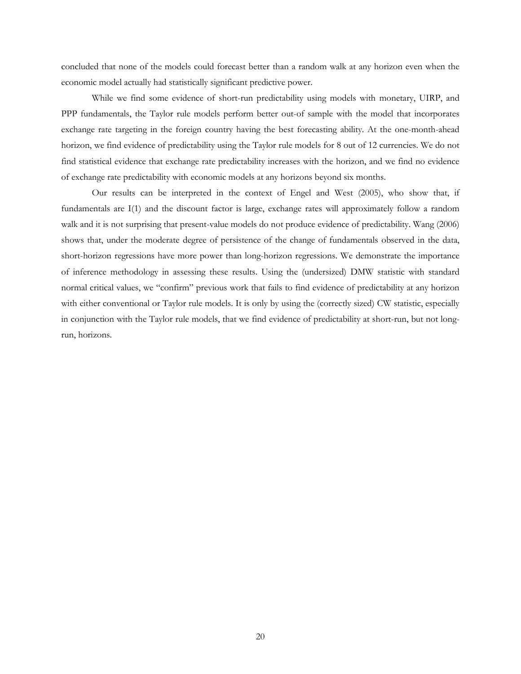concluded that none of the models could forecast better than a random walk at any horizon even when the economic model actually had statistically significant predictive power.

While we find some evidence of short-run predictability using models with monetary, UIRP, and PPP fundamentals, the Taylor rule models perform better out-of sample with the model that incorporates exchange rate targeting in the foreign country having the best forecasting ability. At the one-month-ahead horizon, we find evidence of predictability using the Taylor rule models for 8 out of 12 currencies. We do not find statistical evidence that exchange rate predictability increases with the horizon, and we find no evidence of exchange rate predictability with economic models at any horizons beyond six months.

Our results can be interpreted in the context of Engel and West (2005), who show that, if fundamentals are I(1) and the discount factor is large, exchange rates will approximately follow a random walk and it is not surprising that present-value models do not produce evidence of predictability. Wang (2006) shows that, under the moderate degree of persistence of the change of fundamentals observed in the data, short-horizon regressions have more power than long-horizon regressions. We demonstrate the importance of inference methodology in assessing these results. Using the (undersized) DMW statistic with standard normal critical values, we "confirm" previous work that fails to find evidence of predictability at any horizon with either conventional or Taylor rule models. It is only by using the (correctly sized) CW statistic, especially in conjunction with the Taylor rule models, that we find evidence of predictability at short-run, but not longrun, horizons.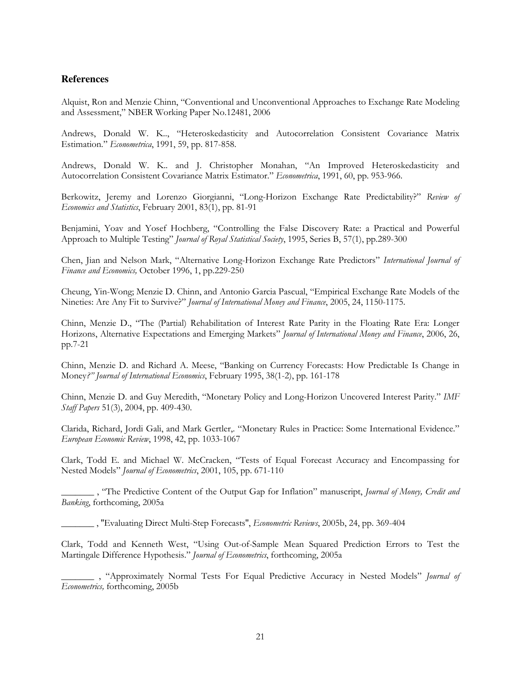# **References**

Alquist, Ron and Menzie Chinn, "Conventional and Unconventional Approaches to Exchange Rate Modeling and Assessment," NBER Working Paper No.12481, 2006

Andrews, Donald W. K.., "Heteroskedasticity and Autocorrelation Consistent Covariance Matrix Estimation." Econometrica, 1991, 59, pp. 817-858.

Andrews, Donald W. K.. and J. Christopher Monahan, "An Improved Heteroskedasticity and Autocorrelation Consistent Covariance Matrix Estimator." Econometrica, 1991, 60, pp. 953-966.

Berkowitz, Jeremy and Lorenzo Giorgianni, "Long-Horizon Exchange Rate Predictability?" Review of Economics and Statistics, February 2001, 83(1), pp. 81-91

Benjamini, Yoav and Yosef Hochberg, "Controlling the False Discovery Rate: a Practical and Powerful Approach to Multiple Testing" Journal of Royal Statistical Society, 1995, Series B, 57(1), pp.289-300

Chen, Jian and Nelson Mark, "Alternative Long-Horizon Exchange Rate Predictors" International Journal of Finance and Economics, October 1996, 1, pp.229-250

Cheung, Yin-Wong; Menzie D. Chinn, and Antonio Garcia Pascual, "Empirical Exchange Rate Models of the Nineties: Are Any Fit to Survive?" Journal of International Money and Finance, 2005, 24, 1150-1175.

Chinn, Menzie D., "The (Partial) Rehabilitation of Interest Rate Parity in the Floating Rate Era: Longer Horizons, Alternative Expectations and Emerging Markets" Journal of International Money and Finance, 2006, 26, pp.7-21

Chinn, Menzie D. and Richard A. Meese, "Banking on Currency Forecasts: How Predictable Is Change in Money?" Journal of International Economics, February 1995, 38(1-2), pp. 161-178

Chinn, Menzie D. and Guy Meredith, "Monetary Policy and Long-Horizon Uncovered Interest Parity." IMF Staff Papers 51(3), 2004, pp. 409-430.

Clarida, Richard, Jordi Gali, and Mark Gertler,. "Monetary Rules in Practice: Some International Evidence." European Economic Review, 1998, 42, pp. 1033-1067

Clark, Todd E. and Michael W. McCracken, "Tests of Equal Forecast Accuracy and Encompassing for Nested Models" Journal of Econometrics, 2001, 105, pp. 671-110

\_, "The Predictive Content of the Output Gap for Inflation" manuscript, *Journal of Money, Credit and* Banking, forthcoming, 2005a

\_\_\_\_\_\_\_ , ''Evaluating Direct Multi-Step Forecasts'', Econometric Reviews, 2005b, 24, pp. 369-404

Clark, Todd and Kenneth West, "Using Out-of-Sample Mean Squared Prediction Errors to Test the Martingale Difference Hypothesis." Journal of Econometrics, forthcoming, 2005a

\_\_\_, "Approximately Normal Tests For Equal Predictive Accuracy in Nested Models" Journal of Econometrics, forthcoming, 2005b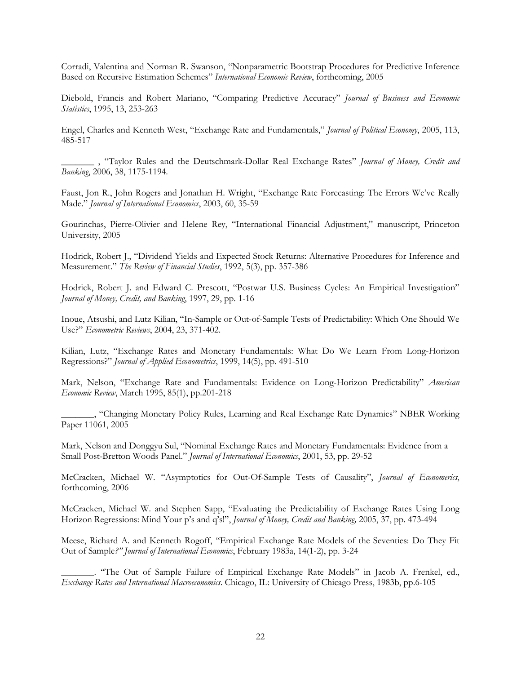Corradi, Valentina and Norman R. Swanson, "Nonparametric Bootstrap Procedures for Predictive Inference Based on Recursive Estimation Schemes" International Economic Review, forthcoming, 2005

Diebold, Francis and Robert Mariano, "Comparing Predictive Accuracy" Journal of Business and Economic Statistics, 1995, 13, 253-263

Engel, Charles and Kenneth West, "Exchange Rate and Fundamentals," Journal of Political Economy, 2005, 113, 485-517

\_\_\_, "Taylor Rules and the Deutschmark-Dollar Real Exchange Rates" Journal of Money, Credit and Banking, 2006, 38, 1175-1194.

Faust, Jon R., John Rogers and Jonathan H. Wright, "Exchange Rate Forecasting: The Errors We've Really Made." Journal of International Economics, 2003, 60, 35-59

Gourinchas, Pierre-Olivier and Helene Rey, "International Financial Adjustment," manuscript, Princeton University, 2005

Hodrick, Robert J., "Dividend Yields and Expected Stock Returns: Alternative Procedures for Inference and Measurement." The Review of Financial Studies, 1992, 5(3), pp. 357-386

Hodrick, Robert J. and Edward C. Prescott, "Postwar U.S. Business Cycles: An Empirical Investigation" Journal of Money, Credit, and Banking, 1997, 29, pp. 1-16

Inoue, Atsushi, and Lutz Kilian, "In-Sample or Out-of-Sample Tests of Predictability: Which One Should We Use?" Econometric Reviews, 2004, 23, 371-402.

Kilian, Lutz, "Exchange Rates and Monetary Fundamentals: What Do We Learn From Long-Horizon Regressions?" Journal of Applied Econometrics, 1999, 14(5), pp. 491-510

Mark, Nelson, "Exchange Rate and Fundamentals: Evidence on Long-Horizon Predictability" American Economic Review, March 1995, 85(1), pp.201-218

\_\_\_\_\_\_\_, "Changing Monetary Policy Rules, Learning and Real Exchange Rate Dynamics" NBER Working Paper 11061, 2005

Mark, Nelson and Donggyu Sul, "Nominal Exchange Rates and Monetary Fundamentals: Evidence from a Small Post-Bretton Woods Panel." Journal of International Economics, 2001, 53, pp. 29-52

McCracken, Michael W. "Asymptotics for Out-Of-Sample Tests of Causality", Journal of Economerics, forthcoming, 2006

McCracken, Michael W. and Stephen Sapp, "Evaluating the Predictability of Exchange Rates Using Long Horizon Regressions: Mind Your p's and q's!", Journal of Money, Credit and Banking, 2005, 37, pp. 473-494

Meese, Richard A. and Kenneth Rogoff, "Empirical Exchange Rate Models of the Seventies: Do They Fit Out of Sample?" Journal of International Economics, February 1983a, 14(1-2), pp. 3-24

"The Out of Sample Failure of Empirical Exchange Rate Models" in Jacob A. Frenkel, ed., Exchange Rates and International Macroeconomics. Chicago, IL: University of Chicago Press, 1983b, pp.6-105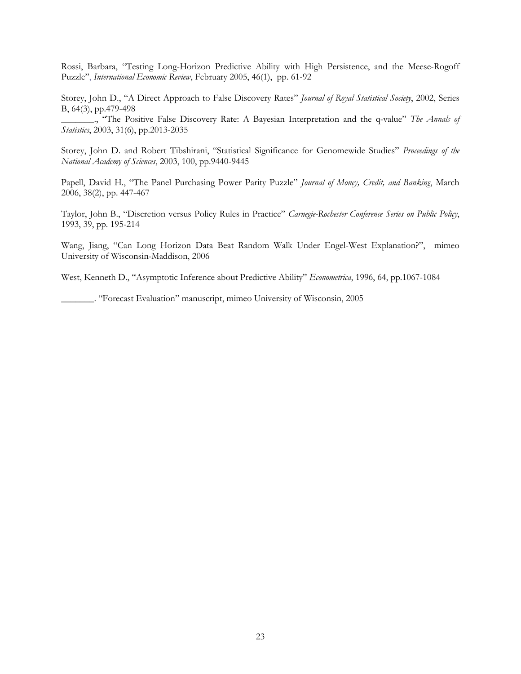Rossi, Barbara, "Testing Long-Horizon Predictive Ability with High Persistence, and the Meese-Rogoff Puzzle", International Economic Review, February 2005, 46(1), pp. 61-92

Storey, John D., "A Direct Approach to False Discovery Rates" Journal of Royal Statistical Society, 2002, Series B, 64(3), pp.479-498

\_\_\_\_\_\_\_., "The Positive False Discovery Rate: A Bayesian Interpretation and the q-value" The Annals of Statistics, 2003, 31(6), pp.2013-2035

Storey, John D. and Robert Tibshirani, "Statistical Significance for Genomewide Studies" Proceedings of the National Academy of Sciences, 2003, 100, pp.9440-9445

Papell, David H., "The Panel Purchasing Power Parity Puzzle" Journal of Money, Credit, and Banking, March 2006, 38(2), pp. 447-467

Taylor, John B., "Discretion versus Policy Rules in Practice" Carnegie-Rochester Conference Series on Public Policy, 1993, 39, pp. 195-214

Wang, Jiang, "Can Long Horizon Data Beat Random Walk Under Engel-West Explanation?", mimeo University of Wisconsin-Maddison, 2006

West, Kenneth D., "Asymptotic Inference about Predictive Ability" Econometrica, 1996, 64, pp.1067-1084

\_\_\_\_\_\_\_. "Forecast Evaluation" manuscript, mimeo University of Wisconsin, 2005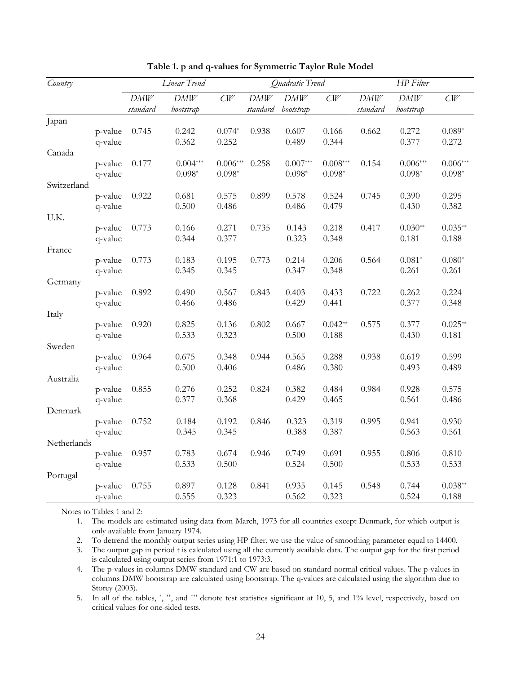| Country     |         |          | Linear Trend |            |          | Quadratic Trend |            | HP Filter |                |                |
|-------------|---------|----------|--------------|------------|----------|-----------------|------------|-----------|----------------|----------------|
|             |         | DMW      | DMW          | CW         | DMW      | DMW             | CW         | DMW       | DMW            | CW             |
|             |         | standard | bootstrap    |            | standard | bootstrap       |            | standard  | bootstrap      |                |
| Japan       |         |          |              |            |          |                 |            |           |                |                |
|             | p-value | 0.745    | 0.242        | $0.074*$   | 0.938    | 0.607           | 0.166      | 0.662     | 0.272          | $0.089*$       |
|             | q-value |          | 0.362        | 0.252      |          | 0.489           | 0.344      |           | 0.377          | 0.272          |
| Canada      |         |          |              |            |          |                 |            |           |                |                |
|             | p-value | 0.177    | $0.004***$   | $0.006***$ | 0.258    | $0.007***$      | $0.008***$ | 0.154     | $0.006***$     | $0.006***$     |
|             | q-value |          | $0.098*$     | $0.098*$   |          | $0.098*$        | $0.098*$   |           | $0.098*$       | $0.098*$       |
| Switzerland |         |          |              |            |          |                 |            |           |                |                |
|             | p-value | 0.922    | 0.681        | 0.575      | 0.899    | 0.578           | 0.524      | 0.745     | 0.390          | 0.295          |
|             | q-value |          | 0.500        | 0.486      |          | 0.486           | 0.479      |           | 0.430          | 0.382          |
| U.K.        |         |          |              |            |          |                 |            |           |                |                |
|             | p-value | 0.773    | 0.166        | 0.271      | 0.735    | 0.143           | 0.218      | 0.417     | $0.030**$      | $0.035**$      |
|             | q-value |          | 0.344        | 0.377      |          | 0.323           | 0.348      |           | 0.181          | 0.188          |
| France      |         |          |              |            |          |                 |            |           |                |                |
|             | p-value | 0.773    | 0.183        | 0.195      | 0.773    | 0.214           | 0.206      | 0.564     | $0.081*$       | $0.080*$       |
|             | q-value |          | 0.345        | 0.345      |          | 0.347           | 0.348      |           | 0.261          | 0.261          |
| Germany     |         |          |              |            |          |                 |            |           |                |                |
|             | p-value | 0.892    | 0.490        | 0.567      | 0.843    | 0.403<br>0.429  | 0.433      | 0.722     | 0.262<br>0.377 | 0.224<br>0.348 |
|             | q-value |          | 0.466        | 0.486      |          |                 | 0.441      |           |                |                |
| Italy       | p-value | 0.920    | 0.825        | 0.136      | 0.802    | 0.667           | $0.042**$  | 0.575     | 0.377          | $0.025**$      |
|             | q-value |          | 0.533        | 0.323      |          | 0.500           | 0.188      |           | 0.430          | 0.181          |
| Sweden      |         |          |              |            |          |                 |            |           |                |                |
|             | p-value | 0.964    | 0.675        | 0.348      | 0.944    | 0.565           | 0.288      | 0.938     | 0.619          | 0.599          |
|             | q-value |          | 0.500        | 0.406      |          | 0.486           | 0.380      |           | 0.493          | 0.489          |
| Australia   |         |          |              |            |          |                 |            |           |                |                |
|             | p-value | 0.855    | 0.276        | 0.252      | 0.824    | 0.382           | 0.484      | 0.984     | 0.928          | 0.575          |
|             | q-value |          | 0.377        | 0.368      |          | 0.429           | 0.465      |           | 0.561          | 0.486          |
| Denmark     |         |          |              |            |          |                 |            |           |                |                |
|             | p-value | 0.752    | 0.184        | 0.192      | 0.846    | 0.323           | 0.319      | 0.995     | 0.941          | 0.930          |
|             | q-value |          | 0.345        | 0.345      |          | 0.388           | 0.387      |           | 0.563          | 0.561          |
| Netherlands |         |          |              |            |          |                 |            |           |                |                |
|             | p-value | 0.957    | 0.783        | 0.674      | 0.946    | 0.749           | 0.691      | 0.955     | 0.806          | 0.810          |
|             | q-value |          | 0.533        | 0.500      |          | 0.524           | 0.500      |           | 0.533          | 0.533          |
| Portugal    |         |          |              |            |          |                 |            |           |                |                |
|             | p-value | 0.755    | 0.897        | 0.128      | 0.841    | 0.935           | 0.145      | 0.548     | 0.744          | $0.038**$      |
|             | q-value |          | 0.555        | 0.323      |          | 0.562           | 0.323      |           | 0.524          | 0.188          |

Table 1. p and q-values for Symmetric Taylor Rule Model

Notes to Tables 1 and 2:

1. The models are estimated using data from March, 1973 for all countries except Denmark, for which output is only available from January 1974.

2. To detrend the monthly output series using HP filter, we use the value of smoothing parameter equal to 14400.

3. The output gap in period t is calculated using all the currently available data. The output gap for the first period is calculated using output series from 1971:1 to 1973:3.

4. The p-values in columns DMW standard and CW are based on standard normal critical values. The p-values in columns DMW bootstrap are calculated using bootstrap. The q-values are calculated using the algorithm due to Storey (2003).

5. In all of the tables,  $\kappa$ ,  $\kappa$ , and  $\kappa$  denote test statistics significant at 10, 5, and 1% level, respectively, based on critical values for one-sided tests.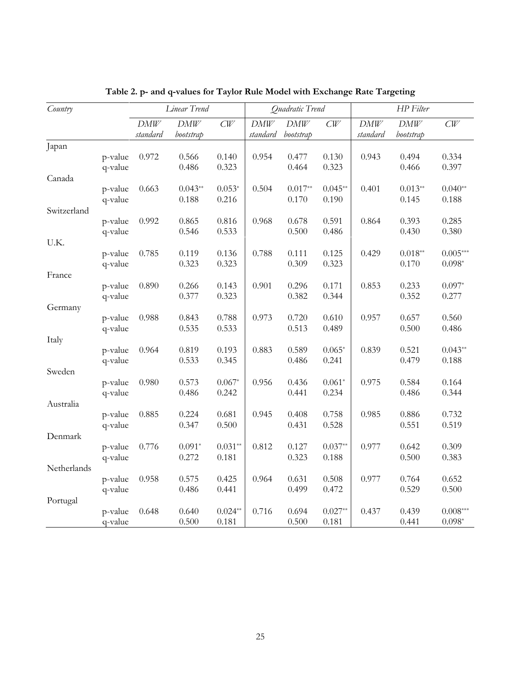| Country     |                    |                 | Linear Trend     |                | Quadratic Trend |                  |                | HP Filter         |                  |                |
|-------------|--------------------|-----------------|------------------|----------------|-----------------|------------------|----------------|-------------------|------------------|----------------|
|             |                    | DMW<br>standard | DMW<br>bootstrap | CW             | DMW<br>standard | DMW<br>bootstrap | CW             | $DMW$<br>standard | DMW<br>bootstrap | CW             |
| Japan       |                    |                 |                  |                |                 |                  |                |                   |                  |                |
|             | p-value<br>q-value | 0.972           | 0.566<br>0.486   | 0.140<br>0.323 | 0.954           | 0.477<br>0.464   | 0.130<br>0.323 | 0.943             | 0.494<br>0.466   | 0.334<br>0.397 |
| Canada      |                    |                 |                  |                |                 |                  |                |                   |                  |                |
|             | p-value            | 0.663           | $0.043**$        | $0.053*$       | 0.504           | $0.017**$        | $0.045**$      | 0.401             | $0.013**$        | $0.040**$      |
|             | q-value            |                 | 0.188            | 0.216          |                 | 0.170            | 0.190          |                   | 0.145            | 0.188          |
| Switzerland |                    |                 |                  |                |                 |                  |                |                   |                  |                |
|             | p-value            | 0.992           | 0.865            | 0.816          | 0.968           | 0.678            | 0.591          | 0.864             | 0.393            | 0.285          |
|             | q-value            |                 | 0.546            | 0.533          |                 | 0.500            | 0.486          |                   | 0.430            | 0.380          |
| U.K.        |                    |                 |                  |                |                 |                  |                |                   |                  |                |
|             | p-value            | 0.785           | 0.119            | 0.136          | 0.788           | 0.111            | 0.125          | 0.429             | $0.018**$        | $0.005***$     |
|             | q-value            |                 | 0.323            | 0.323          |                 | 0.309            | 0.323          |                   | 0.170            | $0.098*$       |
| France      |                    |                 |                  |                |                 |                  |                |                   |                  |                |
|             | p-value            | 0.890           | 0.266            | 0.143          | 0.901           | 0.296            | 0.171          | 0.853             | 0.233            | $0.097*$       |
|             | q-value            |                 | 0.377            | 0.323          |                 | 0.382            | 0.344          |                   | 0.352            | 0.277          |
| Germany     |                    |                 |                  |                |                 |                  |                |                   |                  |                |
|             | p-value            | 0.988           | 0.843<br>0.535   | 0.788          | 0.973           | 0.720<br>0.513   | 0.610<br>0.489 | 0.957             | 0.657<br>0.500   | 0.560<br>0.486 |
|             | q-value            |                 |                  | 0.533          |                 |                  |                |                   |                  |                |
| Italy       | p-value            | 0.964           | 0.819            | 0.193          | 0.883           | 0.589            | $0.065*$       | 0.839             | 0.521            | $0.043**$      |
|             | q-value            |                 | 0.533            | 0.345          |                 | 0.486            | 0.241          |                   | 0.479            | 0.188          |
| Sweden      |                    |                 |                  |                |                 |                  |                |                   |                  |                |
|             | p-value            | 0.980           | 0.573            | $0.067*$       | 0.956           | 0.436            | $0.061*$       | 0.975             | 0.584            | 0.164          |
|             | q-value            |                 | 0.486            | 0.242          |                 | 0.441            | 0.234          |                   | 0.486            | 0.344          |
| Australia   |                    |                 |                  |                |                 |                  |                |                   |                  |                |
|             | p-value            | 0.885           | 0.224            | 0.681          | 0.945           | 0.408            | 0.758          | 0.985             | 0.886            | 0.732          |
|             | q-value            |                 | 0.347            | 0.500          |                 | 0.431            | 0.528          |                   | 0.551            | 0.519          |
| Denmark     |                    |                 |                  |                |                 |                  |                |                   |                  |                |
|             | p-value            | 0.776           | $0.091*$         | $0.031**$      | 0.812           | 0.127            | $0.037**$      | 0.977             | 0.642            | 0.309          |
|             | q-value            |                 | 0.272            | 0.181          |                 | 0.323            | 0.188          |                   | 0.500            | 0.383          |
| Netherlands |                    |                 |                  |                |                 |                  |                |                   |                  |                |
|             | p-value            | 0.958           | 0.575            | 0.425          | 0.964           | 0.631            | 0.508          | 0.977             | 0.764            | 0.652          |
|             | q-value            |                 | 0.486            | 0.441          |                 | 0.499            | 0.472          |                   | 0.529            | 0.500          |
| Portugal    |                    |                 |                  |                |                 |                  |                |                   |                  |                |
|             | p-value            | 0.648           | 0.640            | $0.024**$      | 0.716           | 0.694            | $0.027**$      | 0.437             | 0.439            | $0.008***$     |
|             | q-value            |                 | 0.500            | 0.181          |                 | 0.500            | 0.181          |                   | 0.441            | $0.098*$       |

Table 2. p- and q-values for Taylor Rule Model with Exchange Rate Targeting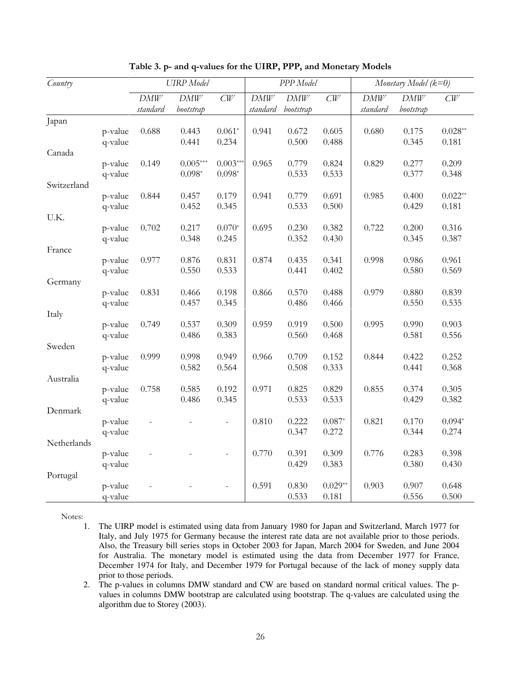| Country     |                    |                 | <b>UIRP</b> Model |                          |                        | PPP Model        |                | Monetary Model (k=0) |                  |                    |
|-------------|--------------------|-----------------|-------------------|--------------------------|------------------------|------------------|----------------|----------------------|------------------|--------------------|
|             |                    | DMW<br>standard | DMW<br>bootstrap  | CW                       | <b>DMW</b><br>standard | DMW<br>bootstrap | CW             | $DMW$<br>standard    | DMW<br>bootstrap | CW                 |
| Japan       |                    |                 |                   |                          |                        |                  |                |                      |                  |                    |
|             | p-value<br>q-value | 0.688           | 0.443<br>0.441    | $0.061*$<br>0.234        | 0.941                  | 0.672<br>0.500   | 0.605<br>0.488 | 0.680                | 0.175<br>0.345   | $0.028**$<br>0.181 |
| Canada      |                    |                 |                   |                          |                        |                  |                |                      |                  |                    |
|             | p-value            | 0.149           | $0.005***$        | $0.003***$               | 0.965                  | 0.779            | 0.824          | 0.829                | 0.277            | 0.209              |
|             | q-value            |                 | $0.098*$          | $0.098*$                 |                        | 0.533            | 0.533          |                      | 0.377            | 0.348              |
| Switzerland |                    |                 |                   |                          |                        |                  |                |                      |                  |                    |
|             | p-value            | 0.844           | 0.457             | 0.179                    | 0.941                  | 0.779            | 0.691          | 0.985                | 0.400            | $0.022**$          |
|             | q-value            |                 | 0.452             | 0.345                    |                        | 0.533            | 0.500          |                      | 0.429            | 0.181              |
| U.K.        |                    |                 |                   |                          |                        |                  |                |                      |                  |                    |
|             | p-value            | 0.702           | 0.217             | $0.070*$                 | 0.695                  | 0.230            | 0.382          | 0.722                | 0.200            | 0.316              |
|             | q-value            |                 | 0.348             | 0.245                    |                        | 0.352            | 0.430          |                      | 0.345            | 0.387              |
| France      |                    |                 |                   |                          |                        |                  |                |                      |                  |                    |
|             | p-value            | 0.977           | 0.876             | 0.831                    | 0.874                  | 0.435            | 0.341          | 0.998                | 0.986            | 0.961              |
|             | q-value            |                 | 0.550             | 0.533                    |                        | 0.441            | 0.402          |                      | 0.580            | 0.569              |
| Germany     |                    |                 |                   |                          |                        |                  |                |                      |                  |                    |
|             | p-value<br>q-value | 0.831           | 0.466<br>0.457    | 0.198<br>0.345           | 0.866                  | 0.570<br>0.486   | 0.488<br>0.466 | 0.979                | 0.880<br>0.550   | 0.839<br>0.535     |
| Italy       |                    |                 |                   |                          |                        |                  |                |                      |                  |                    |
|             | p-value            | 0.749           | 0.537             | 0.309                    | 0.959                  | 0.919            | 0.500          | 0.995                | 0.990            | 0.903              |
|             | q-value            |                 | 0.486             | 0.383                    |                        | 0.560            | 0.468          |                      | 0.581            | 0.556              |
| Sweden      |                    |                 |                   |                          |                        |                  |                |                      |                  |                    |
|             | p-value            | 0.999           | 0.998             | 0.949                    | 0.966                  | 0.709            | 0.152          | 0.844                | 0.422            | 0.252              |
|             | q-value            |                 | 0.582             | 0.564                    |                        | 0.508            | 0.333          |                      | 0.441            | 0.368              |
| Australia   |                    |                 |                   |                          |                        |                  |                |                      |                  |                    |
|             | p-value            | 0.758           | 0.585             | 0.192                    | 0.971                  | 0.825            | 0.829          | 0.855                | 0.374            | 0.305              |
|             | q-value            |                 | 0.486             | 0.345                    |                        | 0.533            | 0.533          |                      | 0.429            | 0.382              |
| Denmark     |                    |                 |                   |                          |                        |                  |                |                      |                  |                    |
|             | p-value            |                 |                   | $\overline{\phantom{0}}$ | 0.810                  | 0.222            | $0.087*$       | 0.821                | 0.170            | $0.094*$           |
|             | q-value            |                 |                   |                          |                        | 0.347            | 0.272          |                      | 0.344            | 0.274              |
| Netherlands |                    |                 |                   |                          |                        |                  |                |                      |                  |                    |
|             | p-value            |                 |                   |                          | 0.770                  | 0.391            | 0.309          | 0.776                | 0.283            | 0.398              |
|             | q-value            |                 |                   |                          |                        | 0.429            | 0.383          |                      | 0.380            | 0.430              |
| Portugal    |                    |                 |                   |                          |                        |                  |                |                      |                  |                    |
|             | p-value            |                 |                   |                          | 0.591                  | 0.830            | $0.029**$      | 0.903                | 0.907            | 0.648              |
|             | q-value            |                 |                   |                          |                        | 0.533            | 0.181          |                      | 0.556            | 0.500              |

Table 3. p- and q-values for the UIRP, PPP, and Monetary Models

Notes:

- 1. The UIRP model is estimated using data from January 1980 for Japan and Switzerland, March 1977 for Italy, and July 1975 for Germany because the interest rate data are not available prior to those periods. Also, the Treasury bill series stops in October 2003 for Japan, March 2004 for Sweden, and June 2004 for Australia. The monetary model is estimated using the data from December 1977 for France, December 1974 for Italy, and December 1979 for Portugal because of the lack of money supply data prior to those periods.
- 2. The p-values in columns DMW standard and CW are based on standard normal critical values. The pvalues in columns DMW bootstrap are calculated using bootstrap. The q-values are calculated using the algorithm due to Storey (2003).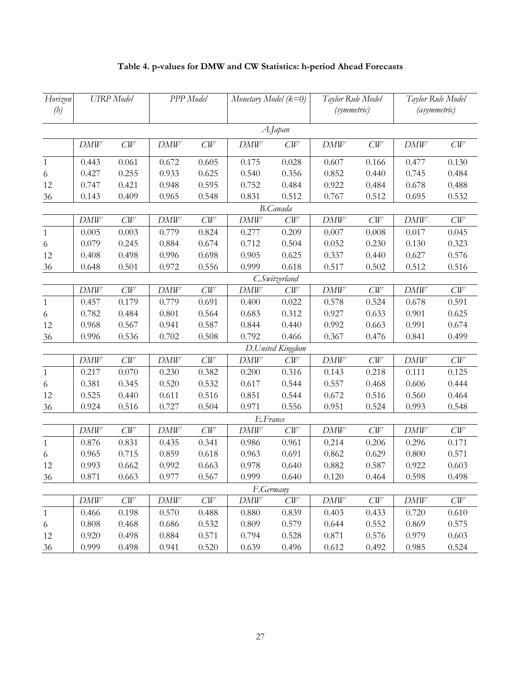| Horizon<br>(h) | <b>UIRP</b> Model |       | PPP Model |       | Monetary Model $(k=0)$ |                  | Taylor Rule Model<br>(symmetric) |       | Taylor Rule Model<br>(asymmetric) |       |
|----------------|-------------------|-------|-----------|-------|------------------------|------------------|----------------------------------|-------|-----------------------------------|-------|
|                |                   |       |           |       |                        | A.Japan          |                                  |       |                                   |       |
|                | DMW               | CW    | DMW       | CW    | DMW                    | CW               | DMW                              | CW    | DMW                               | CW    |
| $\mathbf{1}$   | 0.443             | 0.061 | 0.672     | 0.605 | 0.175                  | 0.028            | 0.607                            | 0.166 | 0.477                             | 0.130 |
| 6              | 0.427             | 0.255 | 0.933     | 0.625 | 0.540                  | 0.356            | 0.852                            | 0.440 | 0.745                             | 0.484 |
| 12             | 0.747             | 0.421 | 0.948     | 0.595 | 0.752                  | 0.484            | 0.922                            | 0.484 | 0.678                             | 0.488 |
| 36             | 0.143             | 0.409 | 0.965     | 0.548 | 0.831                  | 0.512            | 0.767                            | 0.512 | 0.695                             | 0.532 |
|                |                   |       |           |       |                        | <b>B.Canada</b>  |                                  |       |                                   |       |
|                | DMW               | CW    | DMW       | CW    | DMW                    | CW               | DMW                              | CW    | DMW                               | CW    |
| $\mathbf{1}$   | 0.005             | 0.003 | 0.779     | 0.824 | 0.277                  | 0.209            | 0.007                            | 0.008 | 0.017                             | 0.045 |
| 6              | 0.079             | 0.245 | 0.884     | 0.674 | 0.712                  | 0.504            | 0.052                            | 0.230 | 0.130                             | 0.323 |
| 12             | 0.408             | 0.498 | 0.996     | 0.698 | 0.905                  | 0.625            | 0.337                            | 0.440 | 0.627                             | 0.576 |
| 36             | 0.648             | 0.501 | 0.972     | 0.556 | 0.999                  | 0.618            | 0.517                            | 0.502 | 0.512                             | 0.516 |
|                |                   |       |           |       |                        | C.Switzerland    |                                  |       |                                   |       |
|                | DMW               | CW    | DMW       | CW    | <b>DMW</b>             | CW               | <b>DMW</b>                       | CW    | <b>DMW</b>                        | CW    |
| $\mathbf{1}$   | 0.457             | 0.179 | 0.779     | 0.691 | 0.400                  | 0.022            | 0.578                            | 0.524 | 0.678                             | 0.591 |
| 6              | 0.782             | 0.484 | 0.801     | 0.564 | 0.683                  | 0.312            | 0.927                            | 0.633 | 0.901                             | 0.625 |
| 12             | 0.968             | 0.567 | 0.941     | 0.587 | 0.844                  | 0.440            | 0.992                            | 0.663 | 0.991                             | 0.674 |
| 36             | 0.996             | 0.536 | 0.702     | 0.508 | 0.792                  | 0.466            | 0.367                            | 0.476 | 0.841                             | 0.499 |
|                |                   |       |           |       |                        | D.United Kingdom |                                  |       |                                   |       |
|                | DMW               | CW    | DMW       | CW    | DMW                    | CW               | DMW                              | CW    | DMW                               | CW    |
| $\mathbf{1}$   | 0.217             | 0.070 | 0.230     | 0.382 | 0.200                  | 0.316            | 0.143                            | 0.218 | 0.111                             | 0.125 |
| 6              | 0.381             | 0.345 | 0.520     | 0.532 | 0.617                  | 0.544            | 0.557                            | 0.468 | 0.606                             | 0.444 |
| 12             | 0.525             | 0.440 | 0.611     | 0.516 | 0.851                  | 0.544            | 0.672                            | 0.516 | 0.560                             | 0.464 |
| 36             | 0.924             | 0.516 | 0.727     | 0.504 | 0.971                  | 0.556            | 0.951                            | 0.524 | 0.993                             | 0.548 |
|                |                   |       |           |       | E.France               |                  |                                  |       |                                   |       |
|                | DMW               | CW    | DMW       | CW    | DMW                    | CW               | DMW                              | CW    | DMW                               | CW    |
| $\mathbf{1}$   | 0.876             | 0.831 | 0.435     | 0.341 | 0.986                  | 0.961            | 0.214                            | 0.206 | 0.296                             | 0.171 |
| 6              | 0.965             | 0.715 | 0.859     | 0.618 | 0.963                  | 0.691            | 0.862                            | 0.629 | 0.800                             | 0.571 |
| 12             | 0.993             | 0.662 | 0.992     | 0.663 | 0.978                  | 0.640            | 0.882                            | 0.587 | 0.922                             | 0.603 |
| 36             | 0.871             | 0.663 | 0.977     | 0.567 | 0.999                  | 0.640            | 0.120                            | 0.464 | 0.598                             | 0.498 |
|                |                   |       |           |       | F.Germany              |                  |                                  |       |                                   |       |
|                | DMW               | CW    | DMW       | CW    | DMW                    | CW               | DMW                              | CW    | DMW                               | CW    |
| $\mathbf{1}$   | 0.466             | 0.198 | 0.570     | 0.488 | 0.880                  | 0.839            | 0.403                            | 0.433 | 0.720                             | 0.610 |
| 6              | 0.808             | 0.468 | 0.686     | 0.532 | 0.809                  | 0.579            | 0.644                            | 0.552 | 0.869                             | 0.575 |
| 12             | 0.920             | 0.498 | 0.884     | 0.571 | 0.794                  | 0.528            | 0.871                            | 0.576 | 0.979                             | 0.603 |
| 36             | 0.999             | 0.498 | 0.941     | 0.520 | 0.639                  | 0.496            | 0.612                            | 0.492 | 0.985                             | 0.524 |

# Table 4. p-values for DMW and CW Statistics: h-period Ahead Forecasts